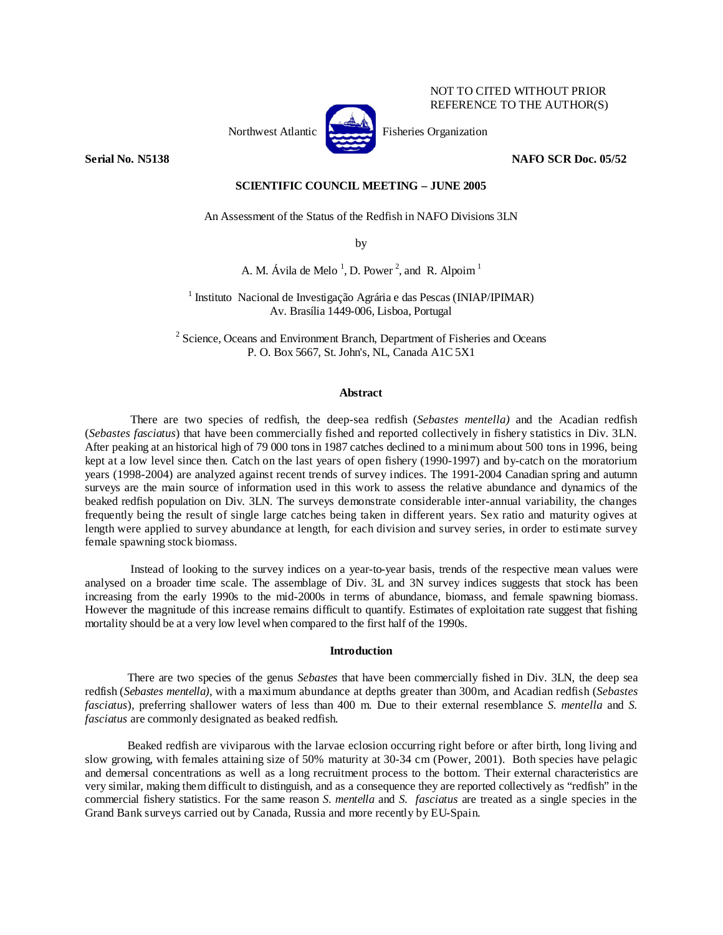

NOT TO CITED WITHOUT PRIOR REFERENCE TO THE AUTHOR(S)

# **Serial No. N5138 NAFO SCR Doc. 05/52**

# **SCIENTIFIC COUNCIL MEETING – JUNE 2005**

An Assessment of the Status of the Redfish in NAFO Divisions 3LN

by

A. M. Ávila de Melo<sup>1</sup>, D. Power<sup>2</sup>, and R. Alpoim<sup>1</sup>

<sup>1</sup> Instituto Nacional de Investigação Agrária e das Pescas (INIAP/IPIMAR) Av. Brasília 1449-006, Lisboa, Portugal

 $2^2$  Science, Oceans and Environment Branch, Department of Fisheries and Oceans P. O. Box 5667, St. John's, NL, Canada A1C 5X1

## **Abstract**

There are two species of redfish, the deep-sea redfish (*Sebastes mentella)* and the Acadian redfish (*Sebastes fasciatus*) that have been commercially fished and reported collectively in fishery statistics in Div. 3LN. After peaking at an historical high of 79 000 tons in 1987 catches declined to a minimum about 500 tons in 1996, being kept at a low level since then. Catch on the last years of open fishery (1990-1997) and by-catch on the moratorium years (1998-2004) are analyzed against recent trends of survey indices. The 1991-2004 Canadian spring and autumn surveys are the main source of information used in this work to assess the relative abundance and dynamics of the beaked redfish population on Div. 3LN. The surveys demonstrate considerable inter-annual variability, the changes frequently being the result of single large catches being taken in different years. Sex ratio and maturity ogives at length were applied to survey abundance at length, for each division and survey series, in order to estimate survey female spawning stock biomass.

Instead of looking to the survey indices on a year-to-year basis, trends of the respective mean values were analysed on a broader time scale. The assemblage of Div. 3L and 3N survey indices suggests that stock has been increasing from the early 1990s to the mid-2000s in terms of abundance, biomass, and female spawning biomass. However the magnitude of this increase remains difficult to quantify. Estimates of exploitation rate suggest that fishing mortality should be at a very low level when compared to the first half of the 1990s.

## **Introduction**

There are two species of the genus *Sebastes* that have been commercially fished in Div. 3LN, the deep sea redfish (*Sebastes mentella)*, with a maximum abundance at depths greater than 300m, and Acadian redfish (*Sebastes fasciatus*), preferring shallower waters of less than 400 m. Due to their external resemblance *S. mentella* and *S. fasciatus* are commonly designated as beaked redfish.

Beaked redfish are viviparous with the larvae eclosion occurring right before or after birth, long living and slow growing, with females attaining size of 50% maturity at 30-34 cm (Power, 2001). Both species have pelagic and demersal concentrations as well as a long recruitment process to the bottom. Their external characteristics are very similar, making them difficult to distinguish, and as a consequence they are reported collectively as "redfish" in the commercial fishery statistics. For the same reason *S. mentella* and *S. fasciatus* are treated as a single species in the Grand Bank surveys carried out by Canada, Russia and more recently by EU-Spain.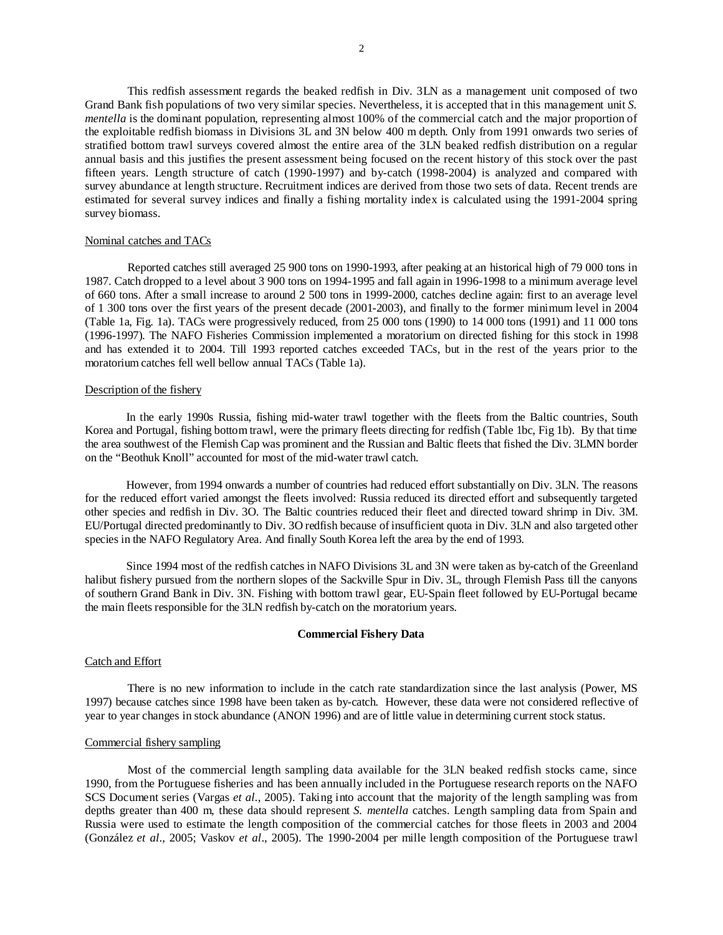This redfish assessment regards the beaked redfish in Div. 3LN as a management unit composed of two Grand Bank fish populations of two very similar species. Nevertheless, it is accepted that in this management unit *S. mentella* is the dominant population, representing almost 100% of the commercial catch and the major proportion of the exploitable redfish biomass in Divisions 3L and 3N below 400 m depth. Only from 1991 onwards two series of stratified bottom trawl surveys covered almost the entire area of the 3LN beaked redfish distribution on a regular annual basis and this justifies the present assessment being focused on the recent history of this stock over the past fifteen years. Length structure of catch (1990-1997) and by-catch (1998-2004) is analyzed and compared with survey abundance at length structure. Recruitment indices are derived from those two sets of data. Recent trends are estimated for several survey indices and finally a fishing mortality index is calculated using the 1991-2004 spring survey biomass.

## Nominal catches and TACs

 Reported catches still averaged 25 900 tons on 1990-1993, after peaking at an historical high of 79 000 tons in 1987. Catch dropped to a level about 3 900 tons on 1994-1995 and fall again in 1996-1998 to a minimum average level of 660 tons. After a small increase to around 2 500 tons in 1999-2000, catches decline again: first to an average level of 1 300 tons over the first years of the present decade (2001-2003), and finally to the former minimum level in 2004 (Table 1a, Fig. 1a). TACs were progressively reduced, from 25 000 tons (1990) to 14 000 tons (1991) and 11 000 tons (1996-1997). The NAFO Fisheries Commission implemented a moratorium on directed fishing for this stock in 1998 and has extended it to 2004. Till 1993 reported catches exceeded TACs, but in the rest of the years prior to the moratorium catches fell well bellow annual TACs (Table 1a).

# Description of the fishery

In the early 1990s Russia, fishing mid-water trawl together with the fleets from the Baltic countries, South Korea and Portugal, fishing bottom trawl, were the primary fleets directing for redfish (Table 1bc, Fig 1b). By that time the area southwest of the Flemish Cap was prominent and the Russian and Baltic fleets that fished the Div. 3LMN border on the "Beothuk Knoll" accounted for most of the mid-water trawl catch.

However, from 1994 onwards a number of countries had reduced effort substantially on Div. 3LN. The reasons for the reduced effort varied amongst the fleets involved: Russia reduced its directed effort and subsequently targeted other species and redfish in Div. 3O. The Baltic countries reduced their fleet and directed toward shrimp in Div. 3M. EU/Portugal directed predominantly to Div. 3O redfish because of insufficient quota in Div. 3LN and also targeted other species in the NAFO Regulatory Area. And finally South Korea left the area by the end of 1993.

Since 1994 most of the redfish catches in NAFO Divisions 3L and 3N were taken as by-catch of the Greenland halibut fishery pursued from the northern slopes of the Sackville Spur in Div. 3L, through Flemish Pass till the canyons of southern Grand Bank in Div. 3N. Fishing with bottom trawl gear, EU-Spain fleet followed by EU-Portugal became the main fleets responsible for the 3LN redfish by-catch on the moratorium years.

#### **Commercial Fishery Data**

# Catch and Effort

 There is no new information to include in the catch rate standardization since the last analysis (Power, MS 1997) because catches since 1998 have been taken as by-catch. However, these data were not considered reflective of year to year changes in stock abundance (ANON 1996) and are of little value in determining current stock status.

# Commercial fishery sampling

Most of the commercial length sampling data available for the 3LN beaked redfish stocks came, since 1990, from the Portuguese fisheries and has been annually included in the Portuguese research reports on the NAFO SCS Document series (Vargas *et al.*, 2005). Taking into account that the majority of the length sampling was from depths greater than 400 m, these data should represent *S. mentella* catches. Length sampling data from Spain and Russia were used to estimate the length composition of the commercial catches for those fleets in 2003 and 2004 (González *et al*., 2005; Vaskov *et al*., 2005). The 1990-2004 per mille length composition of the Portuguese trawl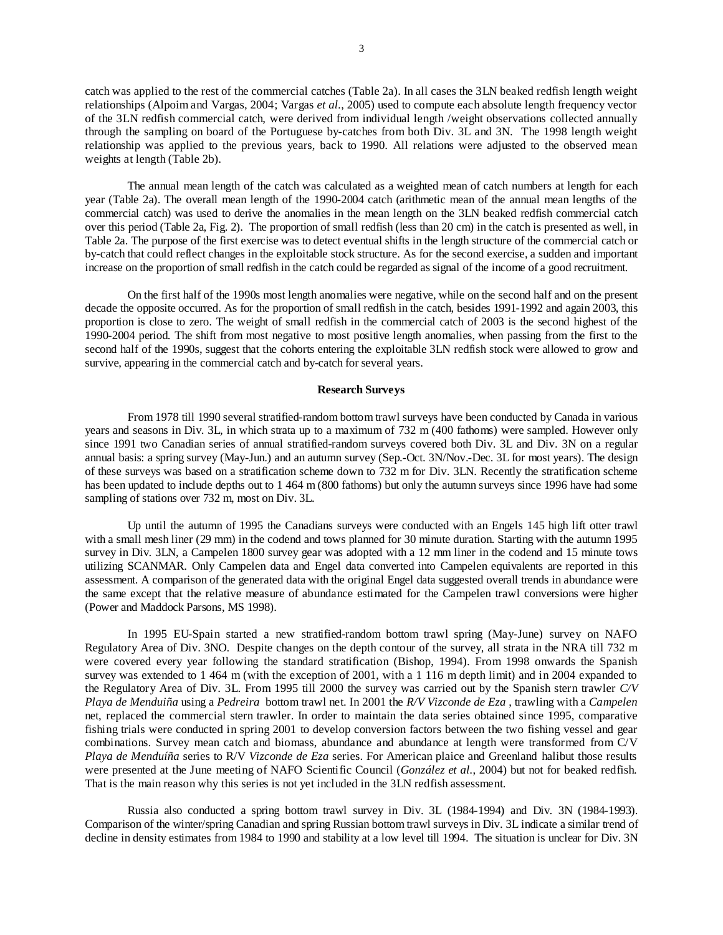catch was applied to the rest of the commercial catches (Table 2a). In all cases the 3LN beaked redfish length weight relationships (Alpoim and Vargas, 2004; Vargas *et al.*, 2005) used to compute each absolute length frequency vector of the 3LN redfish commercial catch, were derived from individual length /weight observations collected annually through the sampling on board of the Portuguese by-catches from both Div. 3L and 3N. The 1998 length weight relationship was applied to the previous years, back to 1990. All relations were adjusted to the observed mean weights at length (Table 2b).

The annual mean length of the catch was calculated as a weighted mean of catch numbers at length for each year (Table 2a). The overall mean length of the 1990-2004 catch (arithmetic mean of the annual mean lengths of the commercial catch) was used to derive the anomalies in the mean length on the 3LN beaked redfish commercial catch over this period (Table 2a, Fig. 2). The proportion of small redfish (less than 20 cm) in the catch is presented as well, in Table 2a. The purpose of the first exercise was to detect eventual shifts in the length structure of the commercial catch or by-catch that could reflect changes in the exploitable stock structure. As for the second exercise, a sudden and important increase on the proportion of small redfish in the catch could be regarded as signal of the income of a good recruitment.

On the first half of the 1990s most length anomalies were negative, while on the second half and on the present decade the opposite occurred. As for the proportion of small redfish in the catch, besides 1991-1992 and again 2003, this proportion is close to zero. The weight of small redfish in the commercial catch of 2003 is the second highest of the 1990-2004 period. The shift from most negative to most positive length anomalies, when passing from the first to the second half of the 1990s, suggest that the cohorts entering the exploitable 3LN redfish stock were allowed to grow and survive, appearing in the commercial catch and by-catch for several years.

# **Research Surveys**

 From 1978 till 1990 several stratified-random bottom trawl surveys have been conducted by Canada in various years and seasons in Div. 3L, in which strata up to a maximum of 732 m (400 fathoms) were sampled. However only since 1991 two Canadian series of annual stratified-random surveys covered both Div. 3L and Div. 3N on a regular annual basis: a spring survey (May-Jun.) and an autumn survey (Sep.-Oct. 3N/Nov.-Dec. 3L for most years). The design of these surveys was based on a stratification scheme down to 732 m for Div. 3LN. Recently the stratification scheme has been updated to include depths out to 1 464 m (800 fathoms) but only the autumn surveys since 1996 have had some sampling of stations over 732 m, most on Div. 3L.

 Up until the autumn of 1995 the Canadians surveys were conducted with an Engels 145 high lift otter trawl with a small mesh liner (29 mm) in the codend and tows planned for 30 minute duration. Starting with the autumn 1995 survey in Div. 3LN, a Campelen 1800 survey gear was adopted with a 12 mm liner in the codend and 15 minute tows utilizing SCANMAR. Only Campelen data and Engel data converted into Campelen equivalents are reported in this assessment. A comparison of the generated data with the original Engel data suggested overall trends in abundance were the same except that the relative measure of abundance estimated for the Campelen trawl conversions were higher (Power and Maddock Parsons, MS 1998).

In 1995 EU-Spain started a new stratified-random bottom trawl spring (May-June) survey on NAFO Regulatory Area of Div. 3NO. Despite changes on the depth contour of the survey, all strata in the NRA till 732 m were covered every year following the standard stratification (Bishop, 1994). From 1998 onwards the Spanish survey was extended to 1 464 m (with the exception of 2001, with a 1 116 m depth limit) and in 2004 expanded to the Regulatory Area of Div. 3L. From 1995 till 2000 the survey was carried out by the Spanish stern trawler *C/V Playa de Menduiña* using a *Pedreira* bottom trawl net. In 2001 the *R/V Vizconde de Eza* , trawling with a *Campelen* net, replaced the commercial stern trawler. In order to maintain the data series obtained since 1995, comparative fishing trials were conducted in spring 2001 to develop conversion factors between the two fishing vessel and gear combinations. Survey mean catch and biomass, abundance and abundance at length were transformed from C/V *Playa de Menduíña* series to R/V *Vizconde de Eza* series. For American plaice and Greenland halibut those results were presented at the June meeting of NAFO Scientific Council (*González et al.*, 2004) but not for beaked redfish. That is the main reason why this series is not yet included in the 3LN redfish assessment.

Russia also conducted a spring bottom trawl survey in Div. 3L (1984-1994) and Div. 3N (1984-1993). Comparison of the winter/spring Canadian and spring Russian bottom trawl surveys in Div. 3L indicate a similar trend of decline in density estimates from 1984 to 1990 and stability at a low level till 1994. The situation is unclear for Div. 3N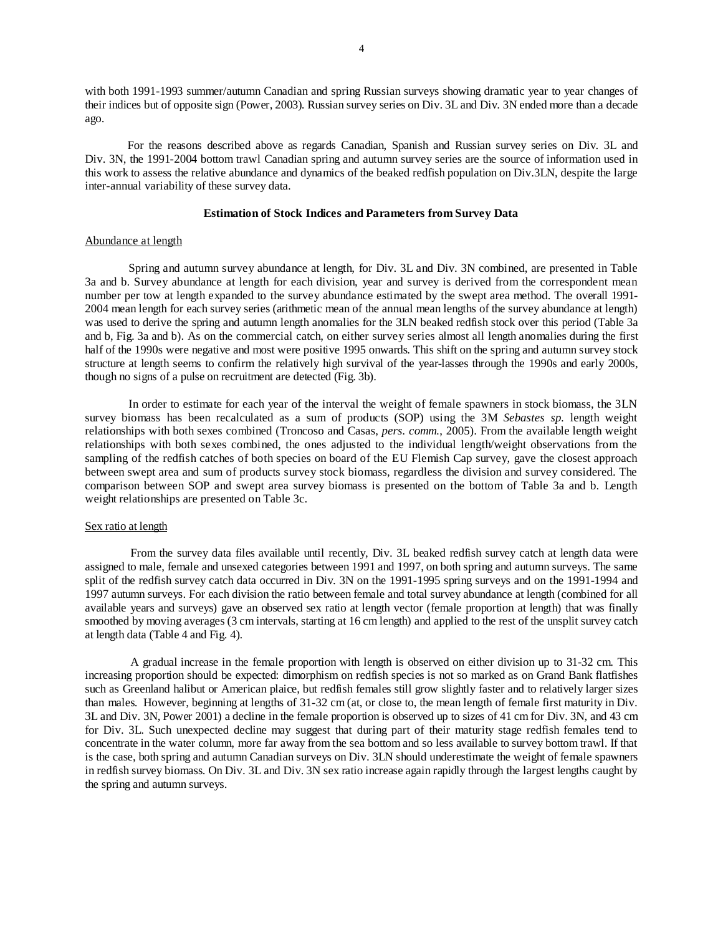with both 1991-1993 summer/autumn Canadian and spring Russian surveys showing dramatic year to year changes of their indices but of opposite sign (Power, 2003). Russian survey series on Div. 3L and Div. 3N ended more than a decade ago.

For the reasons described above as regards Canadian, Spanish and Russian survey series on Div. 3L and Div. 3N, the 1991-2004 bottom trawl Canadian spring and autumn survey series are the source of information used in this work to assess the relative abundance and dynamics of the beaked redfish population on Div.3LN, despite the large inter-annual variability of these survey data.

## **Estimation of Stock Indices and Parameters from Survey Data**

### Abundance at length

Spring and autumn survey abundance at length, for Div. 3L and Div. 3N combined, are presented in Table 3a and b. Survey abundance at length for each division, year and survey is derived from the correspondent mean number per tow at length expanded to the survey abundance estimated by the swept area method. The overall 1991- 2004 mean length for each survey series (arithmetic mean of the annual mean lengths of the survey abundance at length) was used to derive the spring and autumn length anomalies for the 3LN beaked redfish stock over this period (Table 3a and b, Fig. 3a and b). As on the commercial catch, on either survey series almost all length anomalies during the first half of the 1990s were negative and most were positive 1995 onwards. This shift on the spring and autumn survey stock structure at length seems to confirm the relatively high survival of the year-lasses through the 1990s and early 2000s, though no signs of a pulse on recruitment are detected (Fig. 3b).

In order to estimate for each year of the interval the weight of female spawners in stock biomass, the 3LN survey biomass has been recalculated as a sum of products (SOP) using the 3M *Sebastes sp.* length weight relationships with both sexes combined (Troncoso and Casas, *pers. comm.*, 2005). From the available length weight relationships with both sexes combined, the ones adjusted to the individual length/weight observations from the sampling of the redfish catches of both species on board of the EU Flemish Cap survey, gave the closest approach between swept area and sum of products survey stock biomass, regardless the division and survey considered. The comparison between SOP and swept area survey biomass is presented on the bottom of Table 3a and b. Length weight relationships are presented on Table 3c.

### Sex ratio at length

From the survey data files available until recently, Div. 3L beaked redfish survey catch at length data were assigned to male, female and unsexed categories between 1991 and 1997, on both spring and autumn surveys. The same split of the redfish survey catch data occurred in Div. 3N on the 1991-1995 spring surveys and on the 1991-1994 and 1997 autumn surveys. For each division the ratio between female and total survey abundance at length (combined for all available years and surveys) gave an observed sex ratio at length vector (female proportion at length) that was finally smoothed by moving averages (3 cm intervals, starting at 16 cm length) and applied to the rest of the unsplit survey catch at length data (Table 4 and Fig. 4).

A gradual increase in the female proportion with length is observed on either division up to 31-32 cm. This increasing proportion should be expected: dimorphism on redfish species is not so marked as on Grand Bank flatfishes such as Greenland halibut or American plaice, but redfish females still grow slightly faster and to relatively larger sizes than males. However, beginning at lengths of 31-32 cm (at, or close to, the mean length of female first maturity in Div. 3L and Div. 3N, Power 2001) a decline in the female proportion is observed up to sizes of 41 cm for Div. 3N, and 43 cm for Div. 3L. Such unexpected decline may suggest that during part of their maturity stage redfish females tend to concentrate in the water column, more far away from the sea bottom and so less available to survey bottom trawl. If that is the case, both spring and autumn Canadian surveys on Div. 3LN should underestimate the weight of female spawners in redfish survey biomass. On Div. 3L and Div. 3N sex ratio increase again rapidly through the largest lengths caught by the spring and autumn surveys.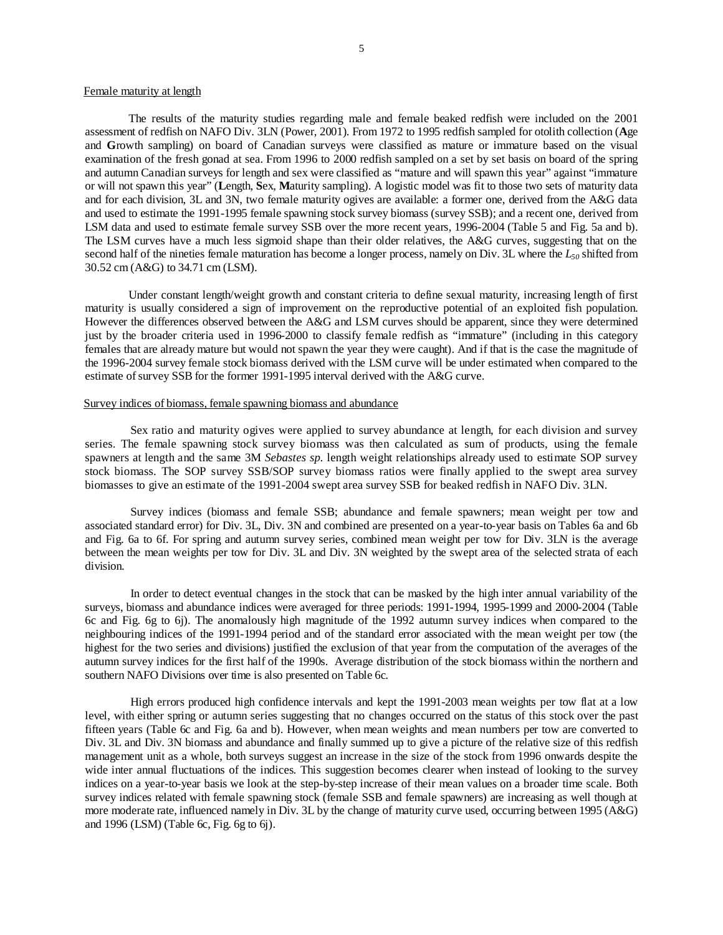#### Female maturity at length

The results of the maturity studies regarding male and female beaked redfish were included on the 2001 assessment of redfish on NAFO Div. 3LN (Power, 2001). From 1972 to 1995 redfish sampled for otolith collection (**A**ge and **G**rowth sampling) on board of Canadian surveys were classified as mature or immature based on the visual examination of the fresh gonad at sea. From 1996 to 2000 redfish sampled on a set by set basis on board of the spring and autumn Canadian surveys for length and sex were classified as "mature and will spawn this year" against "immature or will not spawn this year" (**L**ength, **S**ex, **M**aturity sampling). A logistic model was fit to those two sets of maturity data and for each division, 3L and 3N, two female maturity ogives are available: a former one, derived from the A&G data and used to estimate the 1991-1995 female spawning stock survey biomass (survey SSB); and a recent one, derived from LSM data and used to estimate female survey SSB over the more recent years, 1996-2004 (Table 5 and Fig. 5a and b). The LSM curves have a much less sigmoid shape than their older relatives, the A&G curves, suggesting that on the second half of the nineties female maturation has become a longer process, namely on Div. 3L where the *L50* shifted from 30.52 cm (A&G) to 34.71 cm (LSM).

Under constant length/weight growth and constant criteria to define sexual maturity, increasing length of first maturity is usually considered a sign of improvement on the reproductive potential of an exploited fish population. However the differences observed between the A&G and LSM curves should be apparent, since they were determined just by the broader criteria used in 1996-2000 to classify female redfish as "immature" (including in this category females that are already mature but would not spawn the year they were caught). And if that is the case the magnitude of the 1996-2004 survey female stock biomass derived with the LSM curve will be under estimated when compared to the estimate of survey SSB for the former 1991-1995 interval derived with the A&G curve.

## Survey indices of biomass, female spawning biomass and abundance

Sex ratio and maturity ogives were applied to survey abundance at length, for each division and survey series. The female spawning stock survey biomass was then calculated as sum of products, using the female spawners at length and the same 3M *Sebastes sp.* length weight relationships already used to estimate SOP survey stock biomass. The SOP survey SSB/SOP survey biomass ratios were finally applied to the swept area survey biomasses to give an estimate of the 1991-2004 swept area survey SSB for beaked redfish in NAFO Div. 3LN.

Survey indices (biomass and female SSB; abundance and female spawners; mean weight per tow and associated standard error) for Div. 3L, Div. 3N and combined are presented on a year-to-year basis on Tables 6a and 6b and Fig. 6a to 6f. For spring and autumn survey series, combined mean weight per tow for Div. 3LN is the average between the mean weights per tow for Div. 3L and Div. 3N weighted by the swept area of the selected strata of each division.

In order to detect eventual changes in the stock that can be masked by the high inter annual variability of the surveys, biomass and abundance indices were averaged for three periods: 1991-1994, 1995-1999 and 2000-2004 (Table 6c and Fig. 6g to 6j). The anomalously high magnitude of the 1992 autumn survey indices when compared to the neighbouring indices of the 1991-1994 period and of the standard error associated with the mean weight per tow (the highest for the two series and divisions) justified the exclusion of that year from the computation of the averages of the autumn survey indices for the first half of the 1990s. Average distribution of the stock biomass within the northern and southern NAFO Divisions over time is also presented on Table 6c.

High errors produced high confidence intervals and kept the 1991-2003 mean weights per tow flat at a low level, with either spring or autumn series suggesting that no changes occurred on the status of this stock over the past fifteen years (Table 6c and Fig. 6a and b). However, when mean weights and mean numbers per tow are converted to Div. 3L and Div. 3N biomass and abundance and finally summed up to give a picture of the relative size of this redfish management unit as a whole, both surveys suggest an increase in the size of the stock from 1996 onwards despite the wide inter annual fluctuations of the indices. This suggestion becomes clearer when instead of looking to the survey indices on a year-to-year basis we look at the step-by-step increase of their mean values on a broader time scale. Both survey indices related with female spawning stock (female SSB and female spawners) are increasing as well though at more moderate rate, influenced namely in Div. 3L by the change of maturity curve used, occurring between 1995 (A&G) and 1996 (LSM) (Table 6c, Fig. 6g to 6j).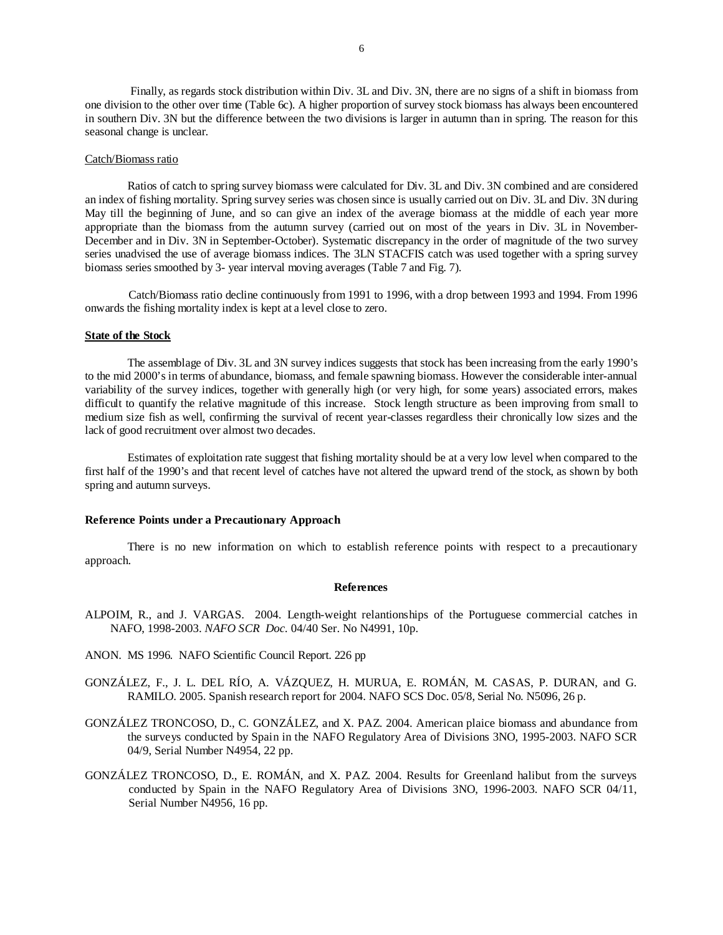Finally, as regards stock distribution within Div. 3L and Div. 3N, there are no signs of a shift in biomass from one division to the other over time (Table 6c). A higher proportion of survey stock biomass has always been encountered in southern Div. 3N but the difference between the two divisions is larger in autumn than in spring. The reason for this seasonal change is unclear.

#### Catch/Biomass ratio

 Ratios of catch to spring survey biomass were calculated for Div. 3L and Div. 3N combined and are considered an index of fishing mortality. Spring survey series was chosen since is usually carried out on Div. 3L and Div. 3N during May till the beginning of June, and so can give an index of the average biomass at the middle of each year more appropriate than the biomass from the autumn survey (carried out on most of the years in Div. 3L in November-December and in Div. 3N in September-October). Systematic discrepancy in the order of magnitude of the two survey series unadvised the use of average biomass indices. The 3LN STACFIS catch was used together with a spring survey biomass series smoothed by 3- year interval moving averages (Table 7 and Fig. 7).

Catch/Biomass ratio decline continuously from 1991 to 1996, with a drop between 1993 and 1994. From 1996 onwards the fishing mortality index is kept at a level close to zero.

### **State of the Stock**

 The assemblage of Div. 3L and 3N survey indices suggests that stock has been increasing from the early 1990's to the mid 2000's in terms of abundance, biomass, and female spawning biomass. However the considerable inter-annual variability of the survey indices, together with generally high (or very high, for some years) associated errors, makes difficult to quantify the relative magnitude of this increase. Stock length structure as been improving from small to medium size fish as well, confirming the survival of recent year-classes regardless their chronically low sizes and the lack of good recruitment over almost two decades.

 Estimates of exploitation rate suggest that fishing mortality should be at a very low level when compared to the first half of the 1990's and that recent level of catches have not altered the upward trend of the stock, as shown by both spring and autumn surveys.

#### **Reference Points under a Precautionary Approach**

 There is no new information on which to establish reference points with respect to a precautionary approach.

#### **References**

- ALPOIM, R., and J. VARGAS. 2004. Length-weight relantionships of the Portuguese commercial catches in NAFO, 1998-2003. *NAFO SCR Doc.* 04/40 Ser. No N4991, 10p.
- ANON. MS 1996. NAFO Scientific Council Report. 226 pp
- GONZÁLEZ, F., J. L. DEL RÍO, A. VÁZQUEZ, H. MURUA, E. ROMÁN, M. CASAS, P. DURAN, and G. RAMILO. 2005. Spanish research report for 2004. NAFO SCS Doc. 05/8, Serial No. N5096, 26 p.
- GONZÁLEZ TRONCOSO, D., C. GONZÁLEZ, and X. PAZ. 2004. American plaice biomass and abundance from the surveys conducted by Spain in the NAFO Regulatory Area of Divisions 3NO, 1995-2003. NAFO SCR 04/9, Serial Number N4954, 22 pp.
- GONZÁLEZ TRONCOSO, D., E. ROMÁN, and X. PAZ. 2004. Results for Greenland halibut from the surveys conducted by Spain in the NAFO Regulatory Area of Divisions 3NO, 1996-2003. NAFO SCR 04/11, Serial Number N4956, 16 pp.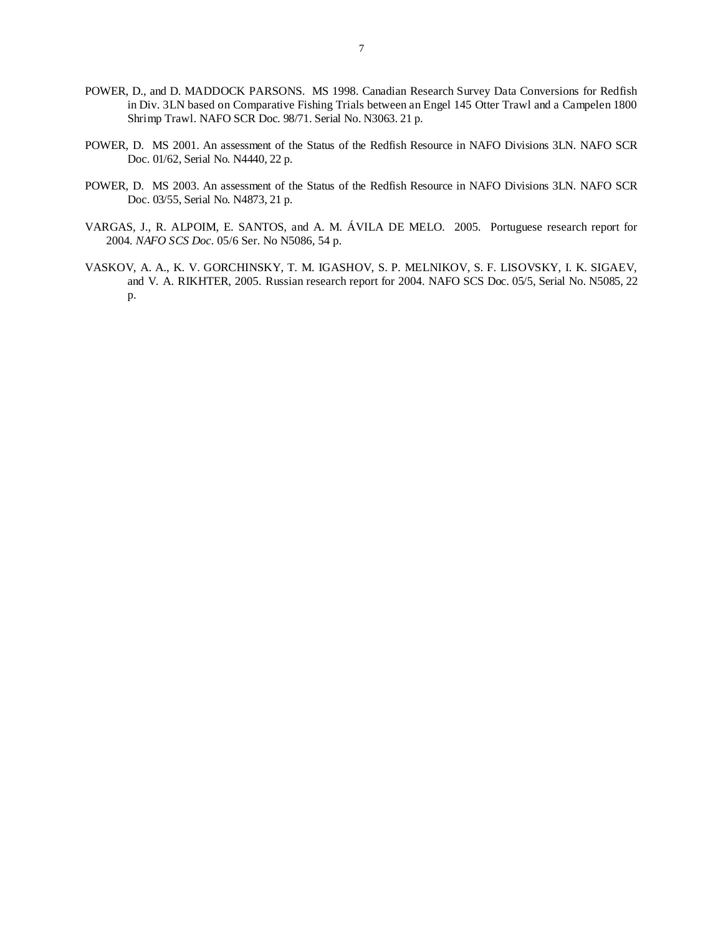- POWER, D., and D. MADDOCK PARSONS. MS 1998. Canadian Research Survey Data Conversions for Redfish in Div. 3LN based on Comparative Fishing Trials between an Engel 145 Otter Trawl and a Campelen 1800 Shrimp Trawl. NAFO SCR Doc. 98/71. Serial No. N3063. 21 p.
- POWER, D. MS 2001. An assessment of the Status of the Redfish Resource in NAFO Divisions 3LN. NAFO SCR Doc. 01/62, Serial No. N4440, 22 p.
- POWER, D. MS 2003. An assessment of the Status of the Redfish Resource in NAFO Divisions 3LN. NAFO SCR Doc. 03/55, Serial No. N4873, 21 p.
- VARGAS, J., R. ALPOIM, E. SANTOS, and A. M. ÁVILA DE MELO. 2005. Portuguese research report for 2004*. NAFO SCS Doc.* 05/6 Ser. No N5086, 54 p.
- VASKOV, A. A., K. V. GORCHINSKY, T. M. IGASHOV, S. P. MELNIKOV, S. F. LISOVSKY, I. K. SIGAEV, and V. A. RIKHTER, 2005. Russian research report for 2004. NAFO SCS Doc. 05/5, Serial No. N5085, 22 p.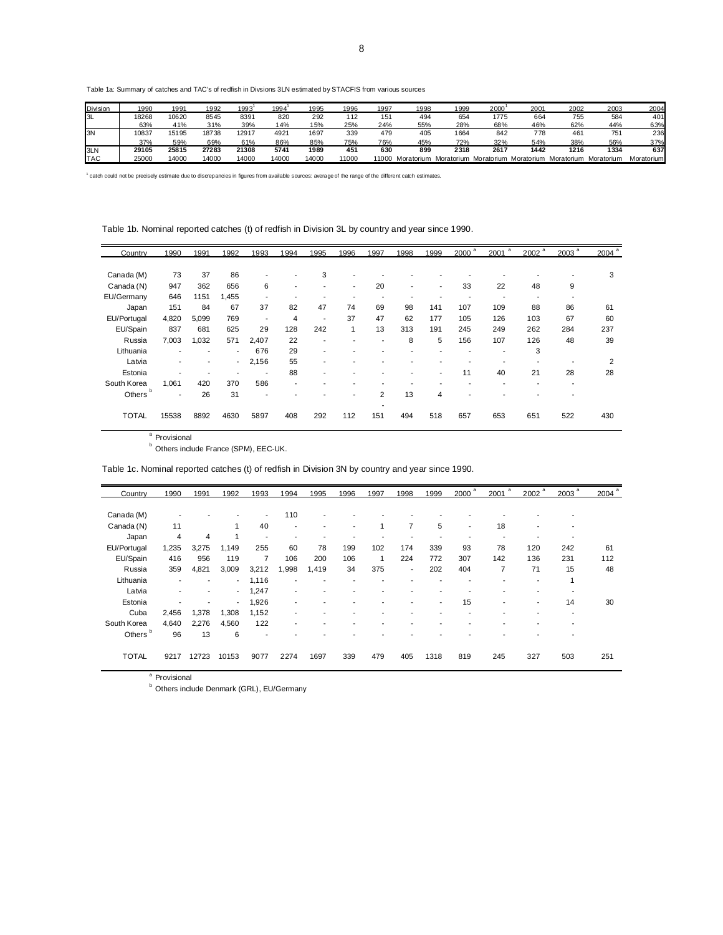8

Table 1a: Summary of catches and TAC's of redfish in Divsions 3LN estimated by STACFIS from various sources

| Division   | 1990  | 1991  | 1992  | 1993  | 1994  | 1995  | 1996  | 1997  | 1998       | 1999 | 2000 | 2001                             | 2002       | 2003            | 2004       |
|------------|-------|-------|-------|-------|-------|-------|-------|-------|------------|------|------|----------------------------------|------------|-----------------|------------|
| I3L        | 18268 | 10620 | 8545  | 8391  | 820   | 292   | 112   | 151   | 494        | 654  | 1775 | 664                              | 755        | 584             | 401        |
|            | 63%   | 41%   | 31%   | 39%   | 14%   | 15%   | 25%   | 24%   | 55%        | 28%  | 68%  | 46%                              | 62%        | 44%             | 63%        |
| 3N         | 10837 | 15195 | 18738 | 12917 | 4921  | 1697  | 339   | 479   | 405        | 1664 | 842  | 778                              | 461        | 75 <sup>′</sup> | 236        |
|            | 37%   | 59%   | 69%   | 61%   | 86%   | 85%   | 75%   | 76%   | 45%        | 72%  | 32%  | 54%                              | 38%        | 56%             | 37%        |
| 3LN        | 29105 | 25815 | 27283 | 21308 | 5741  | 1989  | 451   | 630   | 899        | 2318 | 2617 | 1442                             | 1216       | 1334            | 637        |
| <b>TAC</b> | 25000 | 14000 | 14000 | 14000 | 14000 | 14000 | 11000 | 11000 | Moratorium |      |      | Moratorium Moratorium Moratorium | Moratorium | Moratorium      | Moratorium |

<sup>1</sup> catch could not be precisely estimate due to discrepancies in figures from available sources: average of the range of the different catch estimates.

Table 1b. Nominal reported catches (t) of redfish in Division 3L by country and year since 1990.

| Country      | 1990  | 1991  | 1992                     | 1993                     | 1994                     | 1995                     | 1996                     | 1997 | 1998                     | 1999                     | a<br>2000 | 2001 $a$ | 2002 <sup>a</sup> | 2003 <sup>a</sup> | $2004$ <sup>a</sup> |
|--------------|-------|-------|--------------------------|--------------------------|--------------------------|--------------------------|--------------------------|------|--------------------------|--------------------------|-----------|----------|-------------------|-------------------|---------------------|
|              |       |       |                          |                          |                          |                          |                          |      |                          |                          |           |          |                   |                   |                     |
| Canada (M)   | 73    | 37    | 86                       |                          |                          | 3                        |                          |      |                          |                          |           |          |                   |                   | 3                   |
| Canada (N)   | 947   | 362   | 656                      | 6                        | ۰                        | $\overline{\phantom{a}}$ | $\overline{\phantom{a}}$ | 20   | $\overline{\phantom{a}}$ | $\overline{\phantom{a}}$ | 33        | 22       | 48                | 9                 |                     |
| EU/Germany   | 646   | 1151  | 1,455                    |                          |                          |                          |                          |      |                          |                          |           |          |                   |                   |                     |
| Japan        | 151   | 84    | 67                       | 37                       | 82                       | 47                       | 74                       | 69   | 98                       | 141                      | 107       | 109      | 88                | 86                | 61                  |
| EU/Portugal  | 4,820 | 5,099 | 769                      | $\overline{\phantom{a}}$ | 4                        | $\overline{\phantom{a}}$ | 37                       | 47   | 62                       | 177                      | 105       | 126      | 103               | 67                | 60                  |
| EU/Spain     | 837   | 681   | 625                      | 29                       | 128                      | 242                      | 1                        | 13   | 313                      | 191                      | 245       | 249      | 262               | 284               | 237                 |
| Russia       | 7,003 | 1,032 | 571                      | 2,407                    | 22                       | ۰                        |                          | ٠    | 8                        | 5                        | 156       | 107      | 126               | 48                | 39                  |
| Lithuania    | ۰     |       | ٠                        | 676                      | 29                       | ۰                        |                          |      |                          |                          |           |          | 3                 |                   |                     |
| Latvia       | ۰     |       | $\overline{\phantom{a}}$ | 2,156                    | 55                       |                          |                          |      |                          |                          |           |          |                   |                   | 2                   |
| Estonia      | ۰     |       |                          |                          | 88                       |                          |                          |      |                          | $\overline{\phantom{a}}$ | 11        | 40       | 21                | 28                | 28                  |
| South Korea  | 1,061 | 420   | 370                      | 586                      | $\overline{\phantom{a}}$ |                          |                          |      |                          |                          |           |          |                   |                   |                     |
| b<br>Others  | ۰     | 26    | 31                       |                          |                          |                          |                          | 2    | 13                       | 4                        |           |          |                   |                   |                     |
|              |       |       |                          |                          |                          |                          |                          |      |                          |                          |           |          |                   |                   |                     |
| <b>TOTAL</b> | 15538 | 8892  | 4630                     | 5897                     | 408                      | 292                      | 112                      | 151  | 494                      | 518                      | 657       | 653      | 651               | 522               | 430                 |
|              |       |       |                          |                          |                          |                          |                          |      |                          |                          |           |          |                   |                   |                     |

<sup>a</sup> Provisional

b<br>
<sup>b</sup> Others include France (SPM), EEC-UK.

Table 1c. Nominal reported catches (t) of redfish in Division 3N by country and year since 1990.

| Country      | 1990  | 1991           | 1992                     | 1993                     | 1994  | 1995  | 1996                     | 1997 | 1998                     | 1999                     | $2000$ <sup>a</sup> | a<br>2001 | 2002 <sup>a</sup> | 2003 <sup>a</sup> | 2004 |
|--------------|-------|----------------|--------------------------|--------------------------|-------|-------|--------------------------|------|--------------------------|--------------------------|---------------------|-----------|-------------------|-------------------|------|
|              |       |                |                          |                          |       |       |                          |      |                          |                          |                     |           |                   |                   |      |
| Canada (M)   |       |                |                          | $\overline{\phantom{a}}$ | 110   |       |                          |      |                          |                          |                     |           |                   |                   |      |
| Canada (N)   | 11    |                | 1                        | 40                       | -     |       | $\overline{\phantom{a}}$ | 1    | $\overline{7}$           | 5                        | ۰                   | 18        |                   |                   |      |
| Japan        | 4     | $\overline{4}$ | 1                        | $\overline{\phantom{a}}$ |       |       |                          |      |                          |                          |                     |           |                   |                   |      |
| EU/Portugal  | 1,235 | 3,275          | 1,149                    | 255                      | 60    | 78    | 199                      | 102  | 174                      | 339                      | 93                  | 78        | 120               | 242               | 61   |
| EU/Spain     | 416   | 956            | 119                      | 7                        | 106   | 200   | 106                      | 1    | 224                      | 772                      | 307                 | 142       | 136               | 231               | 112  |
| Russia       | 359   | 4,821          | 3,009                    | 3,212                    | 1,998 | 1,419 | 34                       | 375  | $\overline{\phantom{a}}$ | 202                      | 404                 | 7         | 71                | 15                | 48   |
| Lithuania    |       |                | $\overline{\phantom{a}}$ | 1,116                    |       |       |                          |      |                          |                          |                     |           |                   | 1                 |      |
| Latvia       | ۰     | ۰              | $\overline{\phantom{a}}$ | 1,247                    |       |       |                          |      |                          |                          |                     |           |                   |                   |      |
| Estonia      |       |                | $\overline{\phantom{a}}$ | 1,926                    | -     |       |                          |      |                          | $\overline{\phantom{a}}$ | 15                  | ۰         |                   | 14                | 30   |
| Cuba         | 2,456 | 1,378          | 1,308                    | 1,152                    |       |       |                          |      |                          |                          |                     |           |                   |                   |      |
| South Korea  | 4,640 | 2,276          | 4,560                    | 122                      |       |       |                          |      |                          |                          |                     |           |                   |                   |      |
| b<br>Others  | 96    | 13             | 6                        | $\overline{\phantom{a}}$ |       |       |                          |      |                          |                          |                     |           |                   |                   |      |
|              |       |                |                          |                          |       |       |                          |      |                          |                          |                     |           |                   |                   |      |
| <b>TOTAL</b> | 9217  | 12723          | 10153                    | 9077                     | 2274  | 1697  | 339                      | 479  | 405                      | 1318                     | 819                 | 245       | 327               | 503               | 251  |
|              |       |                |                          |                          |       |       |                          |      |                          |                          |                     |           |                   |                   |      |

<sup>a</sup> Provisional

 $<sup>b</sup>$  Others include Denmark (GRL), EU/Germany</sup>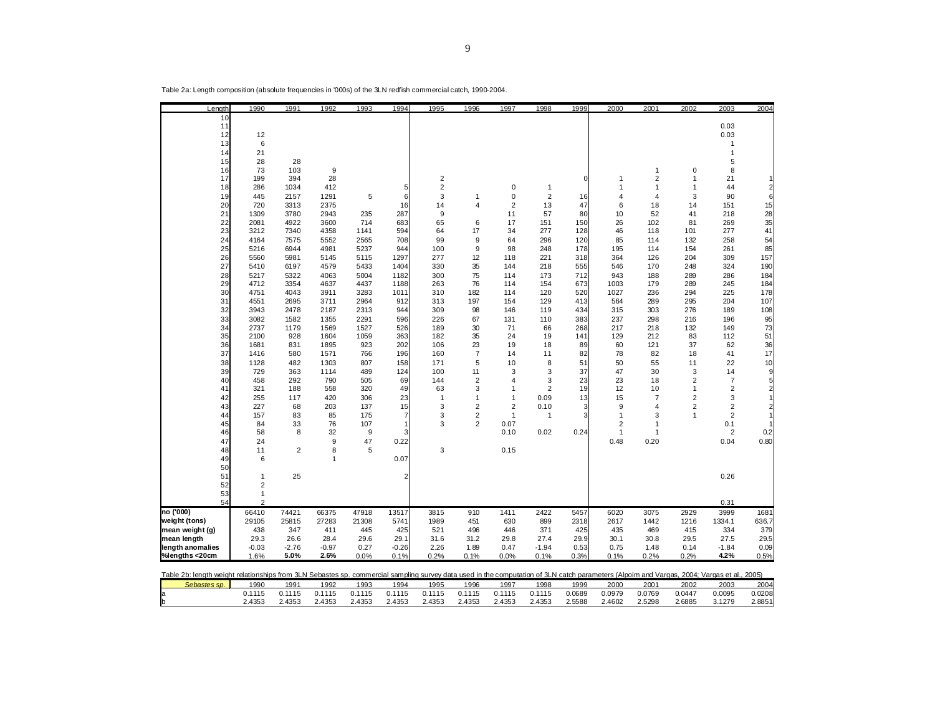| Length                                                                                                                                                                                     | 1990           | 1991           | 1992           | 1993         | 1994           | 1995                    | 1996                    | 1997                    | 1998           | 1999         | 2000                 | 2001                    | 2002           | 2003                    | 2004           |
|--------------------------------------------------------------------------------------------------------------------------------------------------------------------------------------------|----------------|----------------|----------------|--------------|----------------|-------------------------|-------------------------|-------------------------|----------------|--------------|----------------------|-------------------------|----------------|-------------------------|----------------|
| 10                                                                                                                                                                                         |                |                |                |              |                |                         |                         |                         |                |              |                      |                         |                |                         |                |
| 11                                                                                                                                                                                         |                |                |                |              |                |                         |                         |                         |                |              |                      |                         |                | 0.03                    |                |
| 12<br>13                                                                                                                                                                                   | 12<br>6        |                |                |              |                |                         |                         |                         |                |              |                      |                         |                | 0.03<br>$\mathbf{1}$    |                |
| 14                                                                                                                                                                                         | 21             |                |                |              |                |                         |                         |                         |                |              |                      |                         |                | 1                       |                |
| 15                                                                                                                                                                                         | 28             | 28             |                |              |                |                         |                         |                         |                |              |                      |                         |                | 5                       |                |
| 16                                                                                                                                                                                         | 73             | 103            | 9              |              |                |                         |                         |                         |                |              |                      | 1                       | 0              | 8                       |                |
| 17                                                                                                                                                                                         | 199            | 394            | 28             |              |                | $\overline{\mathbf{c}}$ |                         |                         |                | $\mathbf 0$  | 1                    | $\overline{\mathbf{c}}$ | 1              | 21                      |                |
| 18                                                                                                                                                                                         | 286            | 1034           | 412            |              | 5              | $\overline{2}$          |                         | 0                       | 1              |              | 1                    | $\mathbf{1}$            | $\mathbf{1}$   | 44                      | $\overline{2}$ |
| 19                                                                                                                                                                                         | 445            | 2157           | 1291           | 5            | 6              | 3                       | 1                       | 0                       | $\overline{2}$ | 16           | 4                    | 4                       | 3              | 90                      | 6              |
| 20                                                                                                                                                                                         | 720            | 3313           | 2375           |              | 16             | 14                      | 4                       | $\overline{2}$          | 13             | 47           | 6                    | 18                      | 14             | 151                     | 15             |
| 21                                                                                                                                                                                         | 1309           | 3780           | 2943           | 235          | 287            | 9                       |                         | 11                      | 57             | 80           | 10                   | 52                      | 41             | 218                     | 28             |
| 22                                                                                                                                                                                         | 2081           | 4922           | 3600           | 714          | 683            | 65                      | 6<br>17                 | 17                      | 151            | 150          | 26                   | 102                     | 81             | 269                     | 35             |
| 23<br>24                                                                                                                                                                                   | 3212<br>4164   | 7340<br>7575   | 4358<br>5552   | 1141<br>2565 | 594<br>708     | 64<br>99                | 9                       | 34<br>64                | 277<br>296     | 128<br>120   | 46<br>85             | 118<br>114              | 101<br>132     | 277<br>258              | 41<br>54       |
| 25                                                                                                                                                                                         | 5216           | 6944           | 4981           | 5237         | 944            | 100                     | 9                       | 98                      | 248            | 178          | 195                  | 114                     | 154            | 261                     | 85             |
| 26                                                                                                                                                                                         | 5560           | 5981           | 5145           | 5115         | 1297           | 277                     | 12                      | 118                     | 221            | 318          | 364                  | 126                     | 204            | 309                     | 157            |
| 27                                                                                                                                                                                         | 5410           | 6197           | 4579           | 5433         | 1404           | 330                     | 35                      | 144                     | 218            | 555          | 546                  | 170                     | 248            | 324                     | 190            |
| 28                                                                                                                                                                                         | 5217           | 5322           | 4063           | 5004         | 1182           | 300                     | 75                      | 114                     | 173            | 712          | 943                  | 188                     | 289            | 286                     | 184            |
| 29                                                                                                                                                                                         | 4712           | 3354           | 4637           | 4437         | 1188           | 263                     | 76                      | 114                     | 154            | 673          | 1003                 | 179                     | 289            | 245                     | 184            |
| 30                                                                                                                                                                                         | 4751           | 4043           | 3911           | 3283         | 1011           | 310                     | 182                     | 114                     | 120            | 520          | 1027                 | 236                     | 294            | 225                     | 178            |
| 31                                                                                                                                                                                         | 4551           | 2695           | 3711           | 2964         | 912            | 313                     | 197                     | 154                     | 129            | 413          | 564                  | 289                     | 295            | 204                     | 107            |
| 32                                                                                                                                                                                         | 3943           | 2478           | 2187           | 2313         | 944            | 309                     | 98                      | 146                     | 119            | 434          | 315                  | 303                     | 276            | 189                     | 108            |
| 33                                                                                                                                                                                         | 3082           | 1582           | 1355           | 2291         | 596            | 226                     | 67                      | 131                     | 110            | 383          | 237                  | 298                     | 216            | 196                     | 95             |
| 34<br>35                                                                                                                                                                                   | 2737<br>2100   | 1179<br>928    | 1569           | 1527         | 526            | 189<br>182              | 30<br>35                | 71<br>24                | 66             | 268          | 217                  | 218<br>212              | 132<br>83      | 149                     | 73<br>51       |
| 36                                                                                                                                                                                         | 1681           | 831            | 1604<br>1895   | 1059<br>923  | 363<br>202     | 106                     | 23                      | 19                      | 19<br>18       | 141<br>89    | 129<br>60            | 121                     | 37             | 112<br>62               | 36             |
| 37                                                                                                                                                                                         | 1416           | 580            | 1571           | 766          | 196            | 160                     | 7                       | 14                      | 11             | 82           | 78                   | 82                      | 18             | 41                      | 17             |
| 38                                                                                                                                                                                         | 1128           | 482            | 1303           | 807          | 158            | 171                     | 5                       | 10                      | 8              | 51           | 50                   | 55                      | 11             | 22                      | 10             |
| 39                                                                                                                                                                                         | 729            | 363            | 1114           | 489          | 124            | 100                     | 11                      | 3                       | 3              | 37           | 47                   | 30                      | 3              | 14                      | 9              |
| 40                                                                                                                                                                                         | 458            | 292            | 790            | 505          | 69             | 144                     | $\overline{\mathbf{c}}$ | $\overline{\mathbf{4}}$ | 3              | 23           | 23                   | 18                      | $\overline{2}$ | $\overline{7}$          | 5              |
| 41                                                                                                                                                                                         | 321            | 188            | 558            | 320          | 49             | 63                      | 3                       | $\mathbf{1}$            | $\overline{2}$ | 19           | 12                   | 10                      | $\mathbf{1}$   | $\overline{\mathbf{c}}$ | $\overline{2}$ |
| 42                                                                                                                                                                                         | 255            | 117            | 420            | 306          | 23             | $\mathbf{1}$            | $\mathbf{1}$            | $\mathbf{1}$            | 0.09           | 13           | 15                   | $\overline{7}$          | $\overline{c}$ | 3                       |                |
| 43                                                                                                                                                                                         | 227            | 68             | 203            | 137          | 15             | 3                       | $\overline{2}$          | $\overline{2}$          | 0.10           | 3            | 9                    | $\overline{4}$          | 2              | $\overline{\mathbf{c}}$ |                |
| 44                                                                                                                                                                                         | 157            | 83             | 85             | 175          | $\overline{7}$ | 3                       | $\overline{2}$          | $\mathbf{1}$            | $\mathbf{1}$   | 3            | $\mathbf{1}$         | 3                       | $\mathbf{1}$   | $\overline{2}$          |                |
| 45                                                                                                                                                                                         | 84             | 33             | 76             | 107          | 3              | 3                       | $\overline{2}$          | 0.07                    |                |              | 2                    | $\mathbf{1}$            |                | 0.1                     |                |
| 46<br>47                                                                                                                                                                                   | 58<br>24       | 8              | 32<br>9        | 9<br>47      | 0.22           |                         |                         | 0.10                    | 0.02           | 0.24         | $\mathbf{1}$<br>0.48 | 1<br>0.20               |                | $\overline{2}$<br>0.04  | 0.2<br>0.80    |
| 48                                                                                                                                                                                         | 11             | $\overline{2}$ | 8              | 5            |                | 3                       |                         | 0.15                    |                |              |                      |                         |                |                         |                |
| 49                                                                                                                                                                                         | 6              |                | $\mathbf{1}$   |              | 0.07           |                         |                         |                         |                |              |                      |                         |                |                         |                |
| 50                                                                                                                                                                                         |                |                |                |              |                |                         |                         |                         |                |              |                      |                         |                |                         |                |
| 51                                                                                                                                                                                         | $\mathbf{1}$   | 25             |                |              | 2              |                         |                         |                         |                |              |                      |                         |                | 0.26                    |                |
| 52                                                                                                                                                                                         | 2              |                |                |              |                |                         |                         |                         |                |              |                      |                         |                |                         |                |
| 53                                                                                                                                                                                         | $\mathbf{1}$   |                |                |              |                |                         |                         |                         |                |              |                      |                         |                |                         |                |
| 54                                                                                                                                                                                         | $\overline{2}$ |                |                |              |                |                         |                         |                         |                |              |                      |                         |                | 0.31                    |                |
| no ('000)<br>weight (tons)                                                                                                                                                                 | 66410<br>29105 | 74421<br>25815 | 66375<br>27283 | 47918        | 13517          | 3815<br>1989            | 910                     | 1411                    | 2422<br>899    | 5457<br>2318 | 6020<br>2617         | 3075<br>1442            | 2929           | 3999                    | 1681           |
| mean weight (g)                                                                                                                                                                            | 438            | 347            | 411            | 21308<br>445 | 5741<br>425    | 521                     | 451<br>496              | 630<br>446              | 371            | 425          | 435                  | 469                     | 1216<br>415    | 1334.1<br>334           | 636.7<br>379   |
| mean length                                                                                                                                                                                | 29.3           | 26.6           | 28.4           | 29.6         | 29.1           | 31.6                    | 31.2                    | 29.8                    | 27.4           | 29.9         | 30.1                 | 30.8                    | 29.5           | 27.5                    | 29.5           |
| length anomalies                                                                                                                                                                           | $-0.03$        | $-2.76$        | $-0.97$        | 0.27         | $-0.26$        | 2.26                    | 1.89                    | 0.47                    | $-1.94$        | 0.53         | 0.75                 | 1.48                    | 0.14           | $-1.84$                 | 0.09           |
| %lengths <20cm                                                                                                                                                                             | 1.6%           | 5.0%           | 2.6%           | 0.0%         | 0.1%           | 0.2%                    | 0.1%                    | 0.0%                    | 0.1%           | 0.3%         | 0.1%                 | 0.2%                    | 0.2%           | 4.2%                    | 0.5%           |
| Table 2b: length weight relationships from 3LN Sebastes sp. commercial sampling survey data used in the computation of 3LN catch parameters (Alpoim and Vargas, 2004; Vargas et al., 2005) |                |                |                |              |                |                         |                         |                         |                |              |                      |                         |                |                         |                |

*Sebastes sp.* 1990 1991 1992 1993 1994 1995 1996 1997 1998 1999 2000 2001 2002 2003 2004 a 0.1115 0.1115 0.1115 0.1115 0.1115 0.1115 0.1115 0.1115 0.1115 0.0689 0.0979 0.0769 0.0447 0.0095 0.0208

b 2.4353 2.4353 2.4353 2.4353 2.4353 2.4353 2.4353 2.4353 2.4353 2.5588 2.4602 2.5298 2.6885 3.1279 2.8851

0.0208<br>2.8851

Table 2a: Length composition (absolute frequencies in '000s) of the 3LN redfish commercial catch, 1990-2004.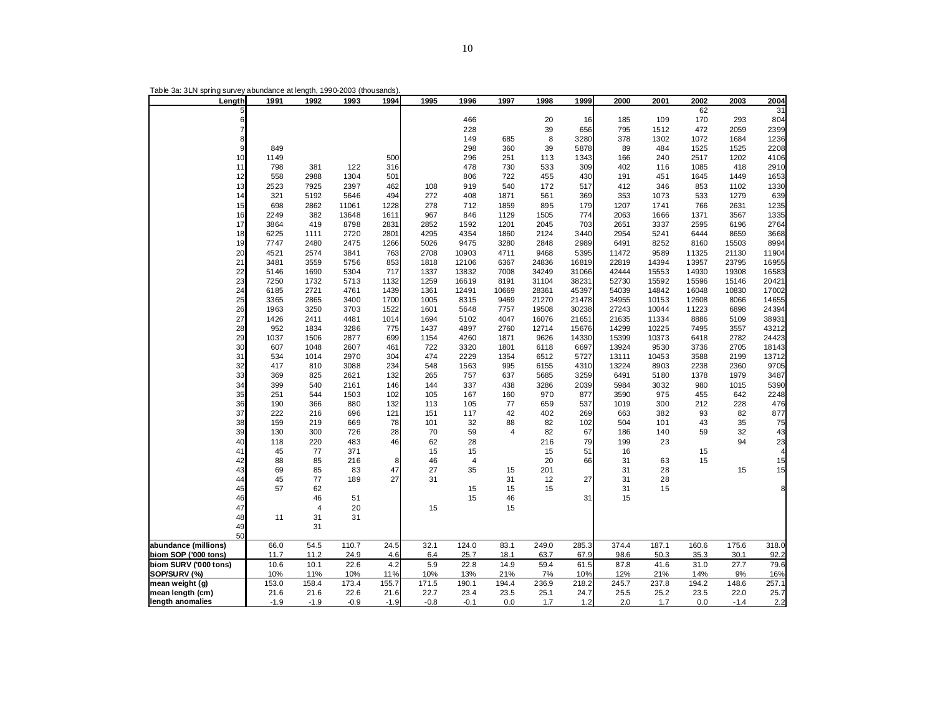| Length                     | 1991       | 1992        | 1993         | 1994       | 1995       | 1996           | 1997        | 1998         | 1999         | 2000           | 2001          | 2002         | 2003         | 2004          |
|----------------------------|------------|-------------|--------------|------------|------------|----------------|-------------|--------------|--------------|----------------|---------------|--------------|--------------|---------------|
| 5                          |            |             |              |            |            |                |             |              |              |                |               | 62           |              | 31            |
| 6<br>$\overline{7}$        |            |             |              |            |            | 466            |             | 20           | 16           | 185            | 109           | 170          | 293          | 804           |
| 8                          |            |             |              |            |            | 228<br>149     | 685         | 39<br>8      | 656<br>3280  | 795<br>378     | 1512<br>1302  | 472<br>1072  | 2059<br>1684 | 2399<br>1236  |
| 9                          | 849        |             |              |            |            | 298            | 360         | 39           | 5878         | 89             | 484           | 1525         | 1525         | 2208          |
| 10                         | 1149       |             |              | 500        |            | 296            | 251         | 113          | 1343         | 166            | 240           | 2517         | 1202         | 4106          |
| 11                         | 798        | 381         | 122          | 316        |            | 478            | 730         | 533          | 309          | 402            | 116           | 1085         | 418          | 2910          |
| 12                         | 558        | 2988        | 1304         | 501        |            | 806            | 722         | 455          | 430          | 191            | 451           | 1645         | 1449         | 1653          |
| 13                         | 2523       | 7925        | 2397         | 462        | 108        | 919            | 540         | 172          | 517          | 412            | 346           | 853          | 1102         | 1330          |
| 14                         | 321        | 5192        | 5646         | 494        | 272        | 408            | 1871        | 561          | 369          | 353            | 1073          | 533          | 1279         | 639           |
| 15                         | 698        | 2862        | 11061        | 1228       | 278        | 712            | 1859        | 895          | 179          | 1207           | 1741          | 766          | 2631         | 1235          |
| 16                         | 2249       | 382         | 13648        | 1611       | 967        | 846            | 1129        | 1505         | 774          | 2063           | 1666          | 1371         | 3567         | 1335          |
| 17                         | 3864       | 419         | 8798         | 2831       | 2852       | 1592           | 1201        | 2045         | 703          | 2651           | 3337          | 2595         | 6196         | 2764          |
| 18                         | 6225       | 1111        | 2720         | 2801       | 4295       | 4354           | 1860        | 2124         | 3440         | 2954           | 5241          | 6444         | 8659         | 3668          |
| 19                         | 7747       | 2480        | 2475         | 1266       | 5026       | 9475           | 3280        | 2848         | 2989         | 6491           | 8252          | 8160         | 15503        | 8994          |
| 20                         | 4521       | 2574        | 3841         | 763        | 2708       | 10903          | 4711        | 9468         | 5395         | 11472          | 9589          | 11325        | 21130        | 11904         |
| 21                         | 3481       | 3559        | 5756         | 853        | 1818       | 12106          | 6367        | 24836        | 16819        | 22819          | 14394         | 13957        | 23795        | 16955         |
| 22                         | 5146       | 1690        | 5304         | 717        | 1337       | 13832          | 7008        | 34249        | 31066        | 42444          | 15553         | 14930        | 19308        | 16583         |
| 23                         | 7250       | 1732        | 5713         | 1132       | 1259       | 16619          | 8191        | 31104        | 38231        | 52730          | 15592         | 15596        | 15146        | 20421         |
| 24                         | 6185       | 2721        | 4761         | 1439       | 1361       | 12491          | 10669       | 28361        | 45397        | 54039          | 14842         | 16048        | 10830        | 17002         |
| 25                         | 3365       | 2865        | 3400         | 1700       | 1005       | 8315           | 9469        | 21270        | 21478        | 34955          | 10153         | 12608        | 8066         | 14655         |
| 26                         | 1963       | 3250        | 3703         | 1522       | 1601       | 5648           | 7757        | 19508        | 30238        | 27243          | 10044         | 11223        | 6898         | 24394         |
| 27                         | 1426       | 2411        | 4481         | 1014       | 1694       | 5102           | 4047        | 16076        | 21651        | 21635          | 11334         | 8886         | 5109         | 38931         |
| 28                         | 952        | 1834        | 3286         | 775        | 1437       | 4897           | 2760        | 12714        | 15676        | 14299          | 10225         | 7495         | 3557         | 43212         |
| 29                         | 1037       | 1506        | 2877         | 699        | 1154       | 4260           | 1871        | 9626         | 14330        | 15399          | 10373         | 6418         | 2782         | 24423         |
| 30                         | 607        | 1048        | 2607         | 461        | 722        | 3320           | 1801        | 6118         | 6697         | 13924          | 9530          | 3736         | 2705         | 18143         |
| 31<br>32                   | 534<br>417 | 1014<br>810 | 2970<br>3088 | 304<br>234 | 474<br>548 | 2229<br>1563   | 1354<br>995 | 6512<br>6155 | 5727<br>4310 | 13111<br>13224 | 10453<br>8903 | 3588<br>2238 | 2199<br>2360 | 13712<br>9705 |
| 33                         | 369        | 825         | 2621         | 132        | 265        | 757            | 637         | 5685         | 3259         | 6491           | 5180          | 1378         | 1979         | 3487          |
| 34                         | 399        | 540         | 2161         | 146        | 144        | 337            | 438         | 3286         | 2039         | 5984           | 3032          | 980          | 1015         | 5390          |
| 35                         | 251        | 544         | 1503         | 102        | 105        | 167            | 160         | 970          | 877          | 3590           | 975           | 455          | 642          | 2248          |
| 36                         | 190        | 366         | 880          | 132        | 113        | 105            | 77          | 659          | 537          | 1019           | 300           | 212          | 228          | 476           |
| 37                         | 222        | 216         | 696          | 121        | 151        | 117            | 42          | 402          | 269          | 663            | 382           | 93           | 82           | 877           |
| 38                         | 159        | 219         | 669          | 78         | 101        | 32             | 88          | 82           | 102          | 504            | 101           | 43           | 35           | 75            |
| 39                         | 130        | 300         | 726          | 28         | 70         | 59             | 4           | 82           | 67           | 186            | 140           | 59           | 32           | 43            |
| 40                         | 118        | 220         | 483          | 46         | 62         | 28             |             | 216          | 79           | 199            | 23            |              | 94           | 23            |
| 41                         | 45         | 77          | 371          |            | 15         | 15             |             | 15           | 51           | 16             |               | 15           |              | 4             |
| 42                         | 88         | 85          | 216          | 8          | 46         | $\overline{4}$ |             | 20           | 66           | 31             | 63            | 15           |              | 15            |
| 43                         | 69         | 85          | 83           | 47         | 27         | 35             | 15          | 201          |              | 31             | 28            |              | 15           | 15            |
| 44                         | 45         | 77          | 189          | 27         | 31         |                | 31          | 12           | 27           | 31             | 28            |              |              |               |
| 45                         | 57         | 62          |              |            |            | 15             | 15          | 15           |              | 31             | 15            |              |              | 8             |
| 46                         |            | 46          | 51           |            |            | 15             | 46          |              | 31           | 15             |               |              |              |               |
| 47                         |            | 4           | 20           |            | 15         |                | 15          |              |              |                |               |              |              |               |
| 48                         | 11         | 31          | 31           |            |            |                |             |              |              |                |               |              |              |               |
| 49                         |            | 31          |              |            |            |                |             |              |              |                |               |              |              |               |
| 50<br>abundance (millions) | 66.0       | 54.5        | 110.7        | 24.5       | 32.1       | 124.0          | 83.1        | 249.0        | 285.3        | 374.4          | 187.1         | 160.6        | 175.6        | 318.0         |
| biom SOP ('000 tons)       | 11.7       | 11.2        | 24.9         | 4.6        | 6.4        | 25.7           | 18.1        | 63.7         | 67.9         | 98.6           | 50.3          | 35.3         | 30.1         | 92.2          |
| biom SURV ('000 tons)      | 10.6       | 10.1        | 22.6         | 4.2        | 5.9        | 22.8           | 14.9        | 59.4         | 61.5         | 87.8           | 41.6          | 31.0         | 27.7         | 79.6          |
| SOP/SURV (%)               | 10%        | 11%         | 10%          | 11%        | 10%        | 13%            | 21%         | 7%           | 10%          | 12%            | 21%           | 14%          | 9%           | 16%           |
| mean weight (g)            | 153.0      | 158.4       | 173.4        | 155.7      | 171.5      | 190.1          | 194.4       | 236.9        | 218.2        | 245.7          | 237.8         | 194.2        | 148.6        | 257.1         |
| mean length (cm)           | 21.6       | 21.6        | 22.6         | 21.6       | 22.7       | 23.4           | 23.5        | 25.1         | 24.7         | 25.5           | 25.2          | 23.5         | 22.0         | 25.7          |
| length anomalies           | $-1.9$     | $-1.9$      | $-0.9$       | $-1.9$     | $-0.8$     | $-0.1$         | 0.0         | 1.7          | 1.2          | 2.0            | 1.7           | 0.0          | $-1.4$       | 2.2           |

Table 3a: 3LN spring survey abundance at length, 1990-2003 (thousands).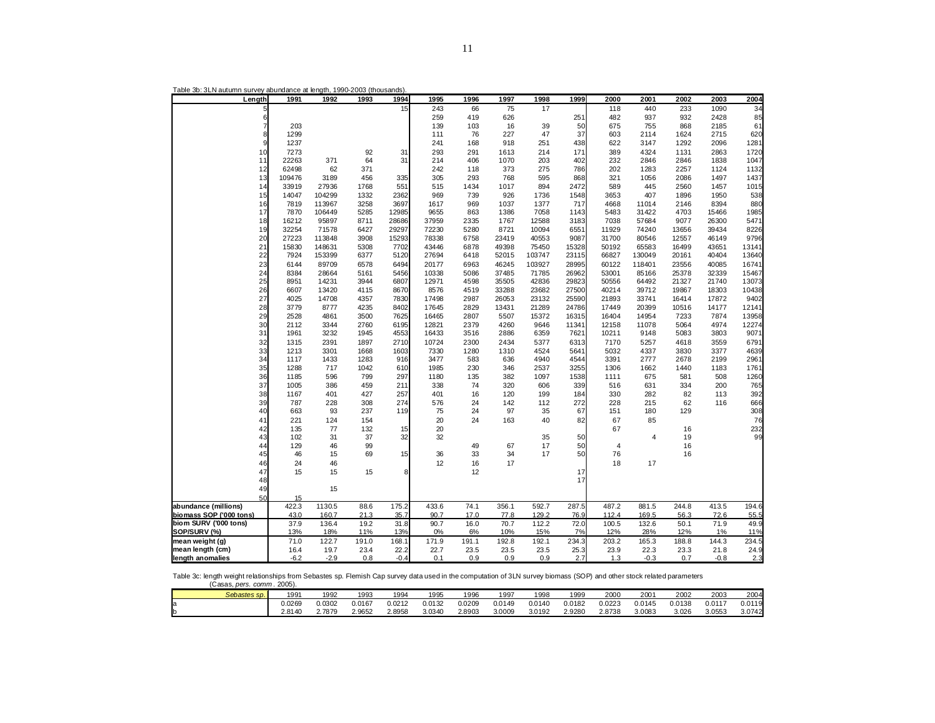| Length                  | 1991   | 1992   | 1993  | 1994   | 1995  | 1996  | 1997  | 1998   | 1999  | 2000  | 2001           | 2002  | 2003   | 2004  |
|-------------------------|--------|--------|-------|--------|-------|-------|-------|--------|-------|-------|----------------|-------|--------|-------|
| 5                       |        |        |       | 15     | 243   | 66    | 75    | 17     |       | 118   | 440            | 233   | 1090   | 34    |
| 6                       |        |        |       |        | 259   | 419   | 626   |        | 251   | 482   | 937            | 932   | 2428   | 85    |
| $\overline{7}$          | 203    |        |       |        | 139   | 103   | 16    | 39     | 50    | 675   | 755            | 868   | 2185   | 61    |
| 8                       | 1299   |        |       |        | 111   | 76    | 227   | 47     | 37    | 603   | 2114           | 1624  | 2715   | 620   |
| 9                       | 1237   |        |       |        | 241   | 168   | 918   | 251    | 438   | 622   | 3147           | 1292  | 2096   | 1281  |
| 10                      | 7273   |        | 92    | 31     | 293   | 291   | 1613  | 214    | 171   | 389   | 4324           | 1131  | 2863   | 1720  |
| 11                      | 22263  | 371    | 64    | 31     | 214   | 406   | 1070  | 203    | 402   | 232   | 2846           | 2846  | 1838   | 1047  |
| 12                      | 62498  | 62     | 371   |        | 242   | 118   | 373   | 275    | 786   | 202   | 1283           | 2257  | 1124   | 1132  |
| 13                      | 109476 | 3189   | 456   | 335    | 305   | 293   | 768   | 595    | 868   | 321   | 1056           | 2086  | 1497   | 1437  |
| 14                      | 33919  | 27936  | 1768  | 551    | 515   | 1434  | 1017  | 894    | 2472  | 589   | 445            | 2560  | 1457   | 1015  |
|                         |        |        |       |        |       |       |       |        |       |       |                |       |        |       |
| 15                      | 14047  | 104299 | 1332  | 2362   | 969   | 739   | 926   | 1736   | 1548  | 3653  | 407            | 1896  | 1950   | 538   |
| 16                      | 7819   | 113967 | 3258  | 3697   | 1617  | 969   | 1037  | 1377   | 717   | 4668  | 11014          | 2146  | 8394   | 880   |
| 17                      | 7870   | 106449 | 5285  | 12985  | 9655  | 863   | 1386  | 7058   | 1143  | 5483  | 31422          | 4703  | 15466  | 1985  |
| 18                      | 16212  | 95897  | 8711  | 28686  | 37959 | 2335  | 1767  | 12588  | 3183  | 7038  | 57684          | 9077  | 26300  | 5471  |
| 19                      | 32254  | 71578  | 6427  | 29297  | 72230 | 5280  | 8721  | 10094  | 6551  | 11929 | 74240          | 13656 | 39434  | 8226  |
| 20                      | 27223  | 113848 | 3908  | 15293  | 78338 | 6758  | 23419 | 40553  | 9087  | 31700 | 80546          | 12557 | 46149  | 9796  |
| 21                      | 15830  | 148631 | 5308  | 7702   | 43446 | 6878  | 49398 | 75450  | 15328 | 50192 | 65583          | 16499 | 43651  | 13141 |
| 22                      | 7924   | 153399 | 6377  | 5120   | 27694 | 6418  | 52015 | 103747 | 23115 | 66827 | 130049         | 20161 | 40404  | 13640 |
| 23                      | 6144   | 89709  | 6578  | 6494   | 20177 | 6963  | 46245 | 103927 | 28995 | 60122 | 118401         | 23556 | 40085  | 16741 |
| 24                      | 8384   | 28664  | 5161  | 5456   | 10338 | 5086  | 37485 | 71785  | 26962 | 53001 | 85166          | 25378 | 32339  | 15467 |
| 25                      | 8951   | 14231  | 3944  | 6807   | 12971 | 4598  | 35505 | 42836  | 29823 | 50556 | 64492          | 21327 | 21740  | 13073 |
| 26                      | 6607   | 13420  | 4115  | 8670   | 8576  | 4519  | 33288 | 23682  | 27500 | 40214 | 39712          | 19867 | 18303  | 10438 |
| 27                      | 4025   | 14708  | 4357  | 7830   | 17498 | 2987  | 26053 | 23132  | 25590 | 21893 | 33741          | 16414 | 17872  | 9402  |
| 28                      | 3779   | 8777   | 4235  | 8402   | 17645 | 2829  | 13431 | 21289  | 24786 | 17449 | 20399          | 10516 | 14177  | 12141 |
| 29                      | 2528   | 4861   | 3500  | 7625   | 16465 | 2807  | 5507  | 15372  | 16315 | 16404 | 14954          | 7233  | 7874   | 13958 |
| 30                      | 2112   | 3344   | 2760  | 6195   | 12821 | 2379  | 4260  | 9646   | 11341 | 12158 | 11078          | 5064  | 4974   | 12274 |
| 31                      | 1961   | 3232   | 1945  | 4553   | 16433 | 3516  | 2886  | 6359   | 7621  | 10211 | 9148           | 5083  | 3803   | 9071  |
| 32                      | 1315   | 2391   | 1897  | 2710   | 10724 | 2300  | 2434  | 5377   | 6313  | 7170  | 5257           | 4618  | 3559   | 6791  |
| 33                      | 1213   | 3301   | 1668  | 1603   | 7330  | 1280  | 1310  | 4524   | 5641  | 5032  | 4337           | 3830  | 3377   | 4639  |
| 34                      | 1117   | 1433   | 1283  | 916    | 3477  | 583   | 636   | 4940   | 4544  | 3391  | 2777           | 2678  | 2199   | 2961  |
| 35                      | 1288   | 717    | 1042  | 610    | 1985  | 230   | 346   | 2537   | 3255  | 1306  | 1662           | 1440  | 1183   | 1761  |
| 36                      | 1185   | 596    | 799   | 297    | 1180  | 135   | 382   | 1097   | 1538  |       | 675            | 581   | 508    | 1260  |
| 37                      |        |        |       |        |       |       |       |        |       | 1111  |                |       |        |       |
|                         | 1005   | 386    | 459   | 211    | 338   | 74    | 320   | 606    | 339   | 516   | 631            | 334   | 200    | 765   |
| 38                      | 1167   | 401    | 427   | 257    | 401   | 16    | 120   | 199    | 184   | 330   | 282            | 82    | 113    | 392   |
| 39                      | 787    | 228    | 308   | 274    | 576   | 24    | 142   | 112    | 272   | 228   | 215            | 62    | 116    | 666   |
| 40                      | 663    | 93     | 237   | 119    | 75    | 24    | 97    | 35     | 67    | 151   | 180            | 129   |        | 308   |
| 41                      | 221    | 124    | 154   |        | 20    | 24    | 163   | 40     | 82    | 67    | 85             |       |        | 76    |
| 42                      | 135    | 77     | 132   | 15     | 20    |       |       |        |       | 67    |                | 16    |        | 232   |
| 43                      | 102    | 31     | 37    | 32     | 32    |       |       | 35     | 50    |       | $\overline{4}$ | 19    |        | 99    |
| 44                      | 129    | 46     | 99    |        |       | 49    | 67    | 17     | 50    | 4     |                | 16    |        |       |
| 45                      | 46     | 15     | 69    | 15     | 36    | 33    | 34    | 17     | 50    | 76    |                | 16    |        |       |
| 46                      | 24     | 46     |       |        | 12    | 16    | 17    |        |       | 18    | 17             |       |        |       |
| 47                      | 15     | 15     | 15    | 8      |       | 12    |       |        | 17    |       |                |       |        |       |
| 48                      |        |        |       |        |       |       |       |        | 17    |       |                |       |        |       |
| 49                      |        | 15     |       |        |       |       |       |        |       |       |                |       |        |       |
| 50                      | 15     |        |       |        |       |       |       |        |       |       |                |       |        |       |
| abundance (millions)    | 422.3  | 1130.5 | 88.6  | 175.2  | 433.6 | 74.1  | 356.1 | 592.7  | 287.5 | 487.2 | 881.5          | 244.8 | 413.5  | 194.6 |
| biomass SOP ('000 tons) | 43.0   | 160.7  | 21.3  | 35.7   | 90.7  | 17.0  | 77.8  | 129.2  | 76.9  | 112.4 | 169.5          | 56.3  | 72.6   | 55.5  |
| biom SURV ('000 tons)   | 37.9   | 136.4  | 19.2  | 31.8   | 90.7  | 16.0  | 70.7  | 112.2  | 72.0  | 100.5 | 132.6          | 50.1  | 71.9   | 49.9  |
| SOP/SURV (%)            | 13%    | 18%    | 11%   | 13%    | 0%    | 6%    | 10%   | 15%    | 7%    | 12%   | 28%            | 12%   | 1%     | 11%   |
| mean weight (g)         | 71.0   | 122.7  | 191.0 | 168.1  | 171.9 | 191.1 | 192.8 | 192.1  | 234.3 | 203.2 | 165.3          | 188.8 | 144.3  | 234.5 |
| mean length (cm)        | 16.4   | 19.7   | 23.4  | 22.2   | 22.7  | 23.5  | 23.5  | 23.5   | 25.3  | 23.9  | 22.3           | 23.3  | 21.8   | 24.9  |
| length anomalies        | $-6.2$ | $-2.9$ | 0.8   | $-0.4$ | 0.1   | 0.9   | 0.9   | 0.9    | 2.7   | 1.3   | $-0.3$         | 0.7   | $-0.8$ | 2.3   |
|                         |        |        |       |        |       |       |       |        |       |       |                |       |        |       |

Table 3b: 3LN autumn survey abundance at length, 1990-2003 (thousands).

Table 3c: length weight relationships from Sebastes sp. Flemish Cap survey data used in the computation of 3LN survey biomass (SOP) and other stock related parameters (Casas, *pers. comm* . 2005).

| Sebastes sp. | 1991   | 1992   | 1993   | 1994   | 1995   | 1996   | 1997   | 1998   | 1999   | 2000   | 2001   | 2002   | 2003        | 2004   |
|--------------|--------|--------|--------|--------|--------|--------|--------|--------|--------|--------|--------|--------|-------------|--------|
|              | J.0269 | 0.0302 | J.0167 | 0.0212 | 0.0132 | 0.0209 | 0.0149 | 0.0140 | 0.0182 | 0.0223 | 0.0145 | 0.0138 | $0.011^{-}$ | 0.0119 |
|              | 2.8140 | 2.7879 | 2.9652 | 2.8958 | 3.0340 | 2.8903 | 3.0009 | 3.0192 | 2.9280 | 2.8738 | 3.0083 | 3.026  | 3.0553      | 3.0742 |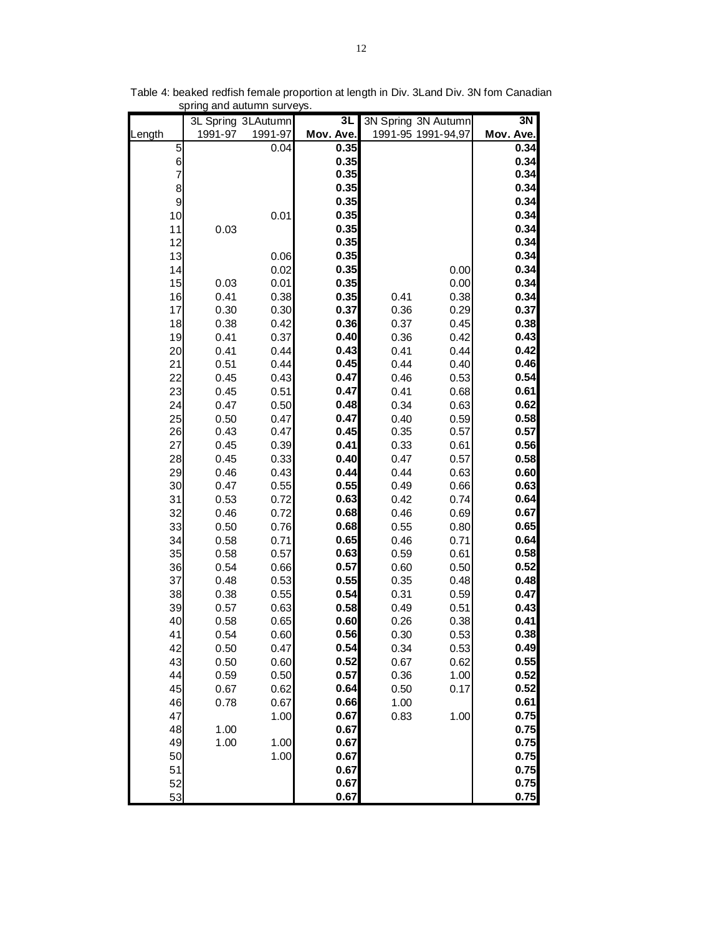|                 |              | 3L Spring 3LAutumn | 3L           |              | 3N Spring 3N Autumn | 3N           |
|-----------------|--------------|--------------------|--------------|--------------|---------------------|--------------|
| Length          | 1991-97      | 1991-97            | Mov. Ave.    |              | 1991-95 1991-94,97  | Mov. Ave.    |
| 5               |              | 0.04               | 0.35         |              |                     | 0.34         |
| $6\overline{6}$ |              |                    | 0.35         |              |                     | 0.34         |
| $\overline{7}$  |              |                    | 0.35         |              |                     | 0.34         |
| 8               |              |                    | 0.35         |              |                     | 0.34         |
| 9               |              |                    | 0.35         |              |                     | 0.34         |
| 10              |              | 0.01               | 0.35         |              |                     | 0.34         |
| 11              | 0.03         |                    | 0.35         |              |                     | 0.34         |
| 12              |              |                    | 0.35         |              |                     | 0.34         |
| 13              |              | 0.06               | 0.35<br>0.35 |              |                     | 0.34<br>0.34 |
| 14<br>15        | 0.03         | 0.02<br>0.01       | 0.35         |              | 0.00<br>0.00        | 0.34         |
| 16              | 0.41         | 0.38               | 0.35         | 0.41         | 0.38                | 0.34         |
| 17              | 0.30         | 0.30               | 0.37         | 0.36         | 0.29                | 0.37         |
| 18              | 0.38         | 0.42               | 0.36         | 0.37         | 0.45                | 0.38         |
| 19              | 0.41         | 0.37               | 0.40         | 0.36         | 0.42                | 0.43         |
| 20              | 0.41         | 0.44               | 0.43         | 0.41         | 0.44                | 0.42         |
| 21              | 0.51         | 0.44               | 0.45         | 0.44         | 0.40                | 0.46         |
| 22              | 0.45         | 0.43               | 0.47         | 0.46         | 0.53                | 0.54         |
| 23              | 0.45         | 0.51               | 0.47         | 0.41         | 0.68                | 0.61         |
| 24              | 0.47         | 0.50               | 0.48         | 0.34         | 0.63                | 0.62         |
| 25              | 0.50         | 0.47               | 0.47         | 0.40         | 0.59                | 0.58         |
| 26              | 0.43         | 0.47               | 0.45         | 0.35         | 0.57                | 0.57         |
| 27              | 0.45         | 0.39               | 0.41         | 0.33         | 0.61                | 0.56         |
| 28              | 0.45         | 0.33               | 0.40         | 0.47         | 0.57                | 0.58         |
| 29              | 0.46         | 0.43               | 0.44         | 0.44         | 0.63                | 0.60         |
| 30              | 0.47         | 0.55               | 0.55         | 0.49         | 0.66                | 0.63         |
| 31              | 0.53         | 0.72               | 0.63         | 0.42         | 0.74                | 0.64         |
| 32              | 0.46         | 0.72               | 0.68         | 0.46         | 0.69                | 0.67         |
| 33              | 0.50         | 0.76               | 0.68         | 0.55         | 0.80                | 0.65         |
| 34              | 0.58         | 0.71               | 0.65         | 0.46         | 0.71                | 0.64         |
| 35              | 0.58         | 0.57               | 0.63         | 0.59         | 0.61                | 0.58         |
| 36              | 0.54         | 0.66               | 0.57         | 0.60         | 0.50                | 0.52         |
| 37              | 0.48         | 0.53               | 0.55         | 0.35         | 0.48                | 0.48         |
| 38              | 0.38         | 0.55               | 0.54         | 0.31         | 0.59                | 0.47         |
| 39              | 0.57         | 0.63               | 0.58         | 0.49         | 0.51                | 0.43         |
| 40              | 0.58         | 0.65               | 0.60<br>0.56 | 0.26         | 0.38                | 0.41<br>0.38 |
| 41<br>42        | 0.54         | 0.60               | 0.54         | 0.30         | 0.53                | 0.49         |
| 43              | 0.50         | 0.47<br>0.60       | 0.52         | 0.34         | 0.53                | 0.55         |
| 44              | 0.50<br>0.59 | 0.50               | 0.57         | 0.67<br>0.36 | 0.62<br>1.00        | 0.52         |
| 45              | 0.67         | 0.62               | 0.64         | 0.50         | 0.17                | 0.52         |
| 46              | 0.78         | 0.67               | 0.66         | 1.00         |                     | 0.61         |
| 47              |              | 1.00               | 0.67         | 0.83         | 1.00                | 0.75         |
| 48              | 1.00         |                    | 0.67         |              |                     | 0.75         |
| 49              | 1.00         | 1.00               | 0.67         |              |                     | 0.75         |
| 50              |              | 1.00               | 0.67         |              |                     | 0.75         |
| 51              |              |                    | 0.67         |              |                     | 0.75         |
| 52              |              |                    | 0.67         |              |                     | 0.75         |
| 53              |              |                    | 0.67         |              |                     | 0.75         |

Table 4: beaked redfish female proportion at length in Div. 3Land Div. 3N fom Canadian spring and autumn surveys.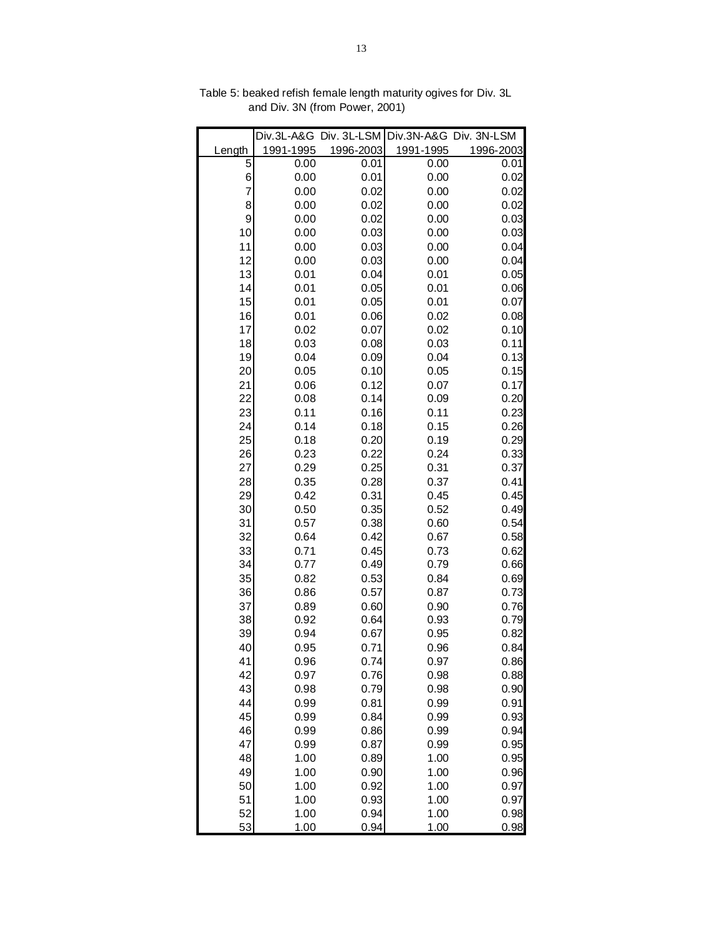|          |              | Div.3L-A&G Div. 3L-LSM |              | Div.3N-A&G Div. 3N-LSM |
|----------|--------------|------------------------|--------------|------------------------|
| Length   | 1991-1995    | 1996-2003              | 1991-1995    | 1996-2003              |
| 5        | 0.00         | 0.01                   | 0.00         | 0.01                   |
| 6        | 0.00         | 0.01                   | 0.00         | 0.02                   |
| 7        | 0.00         | 0.02                   | 0.00         | 0.02                   |
| 8        | 0.00         | 0.02                   | 0.00         | 0.02                   |
| 9        | 0.00         | 0.02                   | 0.00         | 0.03                   |
| 10       | 0.00         | 0.03                   | 0.00         | 0.03                   |
| 11       | 0.00         | 0.03                   | 0.00         | 0.04                   |
| 12       | 0.00         | 0.03                   | 0.00         | 0.04                   |
| 13       | 0.01         | 0.04                   | 0.01         | 0.05                   |
| 14       | 0.01         | 0.05                   | 0.01         | 0.06                   |
| 15       | 0.01         | 0.05                   | 0.01         | 0.07                   |
| 16       | 0.01         | 0.06                   | 0.02         | 0.08                   |
| 17       | 0.02         | 0.07                   | 0.02         | 0.10                   |
| 18       | 0.03         | 0.08                   | 0.03         | 0.11                   |
| 19       | 0.04         | 0.09                   | 0.04         | 0.13                   |
| 20       | 0.05         | 0.10                   | 0.05         | 0.15<br>0.17           |
| 21<br>22 | 0.06<br>0.08 | 0.12<br>0.14           | 0.07         | 0.20                   |
| 23       | 0.11         |                        | 0.09         |                        |
| 24       | 0.14         | 0.16<br>0.18           | 0.11<br>0.15 | 0.23<br>0.26           |
| 25       | 0.18         | 0.20                   | 0.19         | 0.29                   |
| 26       | 0.23         | 0.22                   | 0.24         | 0.33                   |
| 27       | 0.29         | 0.25                   | 0.31         | 0.37                   |
| 28       | 0.35         | 0.28                   | 0.37         | 0.41                   |
| 29       | 0.42         | 0.31                   | 0.45         | 0.45                   |
| 30       | 0.50         | 0.35                   | 0.52         | 0.49                   |
| 31       | 0.57         | 0.38                   | 0.60         | 0.54                   |
| 32       | 0.64         | 0.42                   | 0.67         | 0.58                   |
| 33       | 0.71         | 0.45                   | 0.73         | 0.62                   |
| 34       | 0.77         | 0.49                   | 0.79         | 0.66                   |
| 35       | 0.82         | 0.53                   | 0.84         | 0.69                   |
| 36       | 0.86         | 0.57                   | 0.87         | 0.73                   |
| 37       | 0.89         | 0.60                   | 0.90         | 0.76                   |
| 38       | 0.92         | 0.64                   | 0.93         | 0.79                   |
| 39       | 0.94         | 0.67                   | 0.95         | 0.82                   |
| 40       | 0.95         | 0.71                   | 0.96         | 0.84                   |
| 41       | 0.96         | 0.74                   | 0.97         | 0.86                   |
| 42       | 0.97         | 0.76                   | 0.98         | 0.88                   |
| 43       | 0.98         | 0.79                   | 0.98         | 0.90                   |
| 44       | 0.99         | 0.81                   | 0.99         | 0.91                   |
| 45       | 0.99         | 0.84                   | 0.99         | 0.93                   |
| 46       | 0.99         | 0.86                   | 0.99         | 0.94                   |
| 47       | 0.99         | 0.87                   | 0.99         | 0.95                   |
| 48       | 1.00         | 0.89                   | 1.00         | 0.95                   |
| 49       | 1.00         | 0.90                   | 1.00         | 0.96                   |
| 50       | 1.00         | 0.92                   | 1.00         | 0.97                   |
| 51       | 1.00         | 0.93                   | 1.00         | 0.97                   |
| 52       | 1.00         | 0.94                   | 1.00         | 0.98                   |
| 53       | 1.00         | 0.94                   | 1.00         | 0.98                   |

Table 5: beaked refish female length maturity ogives for Div. 3L and Div. 3N (from Power, 2001)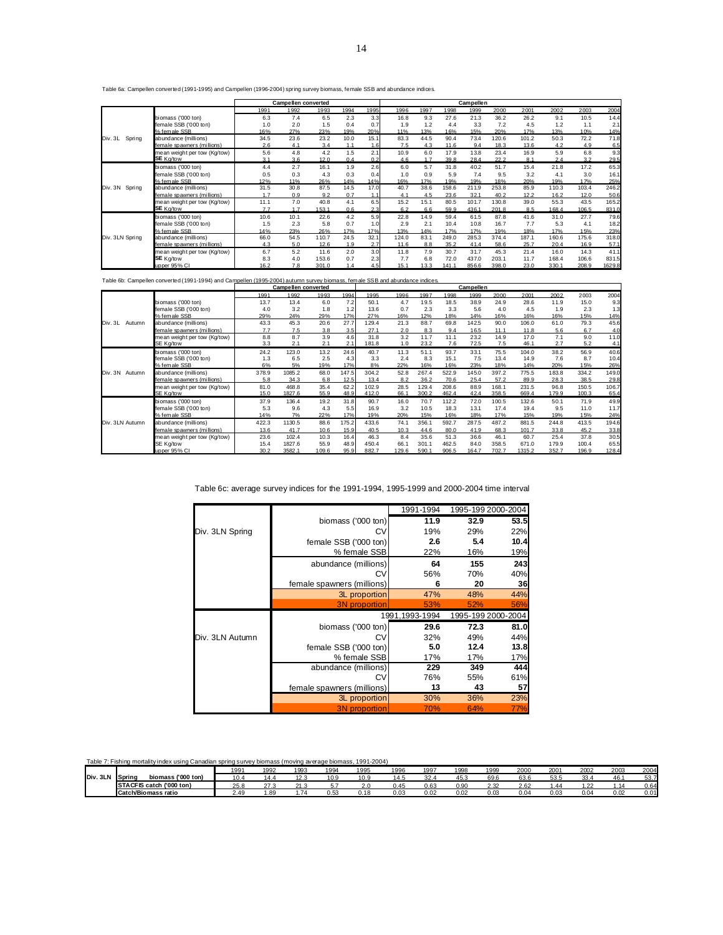Table 6a: Campellen converted (1991-1995) and Campellen (1996-2004) spring survey biomass, female SSB and abundance indices.

|                   |                              |      | <b>Campellen converted</b> |       |      |                  |       |      |       | Campellen |       |       |       |       |        |
|-------------------|------------------------------|------|----------------------------|-------|------|------------------|-------|------|-------|-----------|-------|-------|-------|-------|--------|
|                   |                              | 1991 | 1992                       | 1993  | 1994 | 1995             | 1996  | 1997 | 1998  | 1999      | 2000  | 2001  | 2002  | 2003  | 2004   |
|                   | biomass ('000 ton)           | 6.3  | 7.4                        | 6.5   | 2.3  | 3.3              | 16.8  | 9.3  | 27.6  | 21.3      | 36.2  | 26.2  | 9.1   | 10.5  | 14.4   |
|                   | female SSB ('000 ton)        | 1.0  | 2.0                        | 1.5   | 0.4  | 0.7              | 1.9   | 1.2  | 4.4   | 3.3       | 7.2   | 4.5   | 1.2   | 1.1   | 2.1    |
|                   | % female SSB                 | 16%  | 27%                        | 23%   | 19%  | 20%              | 11%   | 13%  | 16%   | 15%       | 20%   | 17%   | 13%   | 10%   | 14%    |
| Div. 3L<br>Spring | abundance (millions)         | 34.5 | 23.6                       | 23.2  | 10.0 | 15.1             | 83.3  | 44.5 | 90.4  | 73.4      | 120.6 | 101.2 | 50.3  | 72.2  | 71.8   |
|                   | female spawners (millions)   | 2.6  | 4.1                        | 3.4   | 1.1  | 1.6              | 7.5   | 4.3  | 11.6  | 9.4       | 18.3  | 13.6  | 4.2   | 4.9   | 6.5    |
|                   | mean weight per tow (Kg/tow) | 5.6  | 4.8                        | 4.2   | 1.5  | 2.1              | 10.9  | 6.0  | 17.9  | 13.8      | 23.4  | 16.9  | 5.9   | 6.8   | 9.3    |
|                   | SE Kg/tow                    | 3.1  | 3.6                        | 12.0  | 0.4  | 0.2              | 4.6   | 1.7  | 39.8  | 28.4      | 22.2  | 8.1   | 2.4   | 3.2   | 29.5   |
|                   | biomass ('000 ton)           | 4.4  | 2.7                        | 16.1  | 1.9  | 2.6              | 6.0   | 5.7  | 31.8  | 40.2      | 51.7  | 15.4  | 21.8  | 17.2  | 65.3   |
|                   | female SSB ('000 ton)        | 0.5  | 0.3                        | 4.3   | 0.3  | 0.4              | 1.0   | 0.9  | 5.9   | 7.4       | 9.5   | 3.2   | 4.1   | 3.0   | 16.1   |
|                   | % fem ale SSB                | 12%  | 11%                        | 26%   | 14%  | 14%              | 16%   | 17%  | 19%   | 19%       | 18%   | 20%   | 19%   | 17%   | 25%    |
| Spring<br>Div. 3N | abundance (millions)         | 31.5 | 30.8                       | 87.5  | 14.5 | 17.0             | 40.7  | 38.6 | 158.6 | 211.9     | 253.8 | 85.9  | 110.3 | 103.4 | 246.2  |
|                   | female spawners (millions)   | 1.7  | 0.9                        | 9.2   | 0.7  | 1.1              | 4.1   | 4.5  | 23.6  | 32.1      | 40.2  | 12.2  | 16.2  | 12.0  | 50.6   |
|                   | mean weight per tow (Kg/tow) | 11.1 | 7.0                        | 40.8  | 4.1  | 6.5              | 15.2  | 15.1 | 80.5  | 101.7     | 130.8 | 39.0  | 55.3  | 43.5  | 165.2  |
|                   | SE Kg/tow                    | 7.7  | 1.7                        | 153.1 | 0.6  | 2.3 <sub>1</sub> | 6.2   | 6.6  | 59.9  | 436.1     | 201.8 | 8.5   | 168.4 | 106.5 | 831.0  |
|                   | biomass ('000 ton)           | 10.6 | 10.1                       | 22.6  | 4.2  | 5.9              | 22.8  | 14.9 | 59.4  | 61.5      | 87.8  | 41.6  | 31.0  | 27.7  | 79.6   |
|                   | female SSB ('000 ton)        | 1.5  | 2.3                        | 5.8   | 0.7  | 1.0              | 2.9   | 2.1  | 10.4  | 10.8      | 16.7  | 7.7   | 5.3   | 4.1   | 18.2   |
|                   | % fem ale SSB                | 14%  | 23%                        | 26%   | 17%  | 17%              | 13%   | 14%  | 17%   | 17%       | 19%   | 18%   | 17%   | 15%   | 23%    |
| Div. 3LN Spring   | abundance (millions)         | 66.0 | 54.5                       | 110.7 | 24.5 | 32.1             | 124.0 | 83.1 | 249.0 | 285.3     | 374.4 | 187.1 | 160.6 | 175.6 | 318.0  |
|                   | female spawners (millions)   | 4.3  | 5.0                        | 12.6  | 1.9  | 2.7              | 11.6  | 8.8  | 35.2  | 41.4      | 58.6  | 25.7  | 20.4  | 16.9  | 57.1   |
|                   | mean weight per tow (Kg/tow) | 6.7  | 5.2                        | 11.6  | 2.0  | 3.0              | 11.8  | 7.9  | 30.7  | 31.7      | 45.3  | 21.4  | 16.0  | 14.3  | 41.1   |
|                   | SE Kg/tow                    | 8.3  | 4.0                        | 153.6 | 0.7  | 2.3              | 7.7   | 6.8  | 72.0  | 437.0     | 203.1 | 11.7  | 168.4 | 106.6 | 831.5  |
|                   | upper 95% CI                 | 16.2 | 7.8                        | 301.0 | 1.4  | 4.5              | 15.1  | 13.3 | 141.1 | 856.6     | 398.0 | 23.0  | 330.1 | 208.9 | 1629.8 |

| Table 6b: Campellen converted (1991-1994) and Campellen (1995-2004) autumn survey biomass, female SSB and abundance indices |  |  |
|-----------------------------------------------------------------------------------------------------------------------------|--|--|
|                                                                                                                             |  |  |

|                   |                              |       | Campellen converted |       |       |       |       |       |       | Campellen |       |        |       |       |       |
|-------------------|------------------------------|-------|---------------------|-------|-------|-------|-------|-------|-------|-----------|-------|--------|-------|-------|-------|
|                   |                              | 1991  | 1992                | 1993  | 1994  | 1995  | 1996  | 1997  | 1998  | 1999      | 2000  | 2001   | 2002  | 2003  | 2004  |
|                   | biomass ('000 ton)           | 13.7  | 13.4                | 6.0   | 7.2   | 50.1  | 4.7   | 19.5  | 18.5  | 38.9      | 24.9  | 28.6   | 11.9  | 15.0  | 9.3   |
|                   | female SSB ('000 ton)        | 4.0   | 3.2                 | 1.8   | 1.2   | 13.6  | 0.7   | 2.3   | 3.3   | 5.6       | 4.0   | 4.5    | 1.9   | 2.3   | 1.3   |
|                   | % female SSB                 | 29%   | 24%                 | 29%   | 17%   | 27%   | 16%   | 12%   | 18%   | 14%       | 16%   | 16%    | 16%   | 15%   | 14%   |
| Div. 3L<br>Autumn | abundance (millions)         | 43.3  | 45.3                | 20.6  | 27.7  | 129.4 | 21.3  | 88.7  | 69.8  | 142.5     | 90.0  | 106.0  | 61.0  | 79.3  | 45.6  |
|                   | female spawners (millions)   | 7.7   | 7.5                 | 3.8   | 3.5   | 27.1  | 2.0   | 8.3   | 9.4   | 16.5      | 11.1  | 11.8   | 5.6   | 6.7   | 4.0   |
|                   | mean weight per tow (Kg/tow) | 8.8   | 8.7                 | 3.9   | 4.6   | 31.8  | 3.2   | 11.7  | 11.1  | 23.2      | 14.9  | 17.0   | 7.1   | 9.0   | 11.0  |
|                   | SE Kg/tow                    | 3.3   | 2.1                 | 2.1   | 2.1   | 181.8 | 1.0   | 23.2  | 7.6   | 72.5      | 7.5   | 46.1   | 2.7   | 5.2   | 4.1   |
|                   | biomass ('000 ton)           | 24.2  | 123.0               | 13.2  | 24.6  | 40.7  | 11.3  | 51.1  | 93.7  | 33.1      | 75.5  | 104.0  | 38.2  | 56.9  | 40.6  |
|                   | female SSB ('000 ton)        | 1.3   | 6.5                 | 2.5   | 4.3   | 3.3   | 2.4   | 8.3   | 15.1  | 7.5       | 13.4  | 14.9   | 7.6   | 8.7   | 10.4  |
|                   | % fem ale SSB                | 6%    | 5%                  | 19%   | 17%   | 8%    | 22%   | 16%   | 16%   | 23%       | 18%   | 14%    | 20%   | 15%   | 26%   |
| Div. 3N<br>Autumn | abundance (millions)         | 378.9 | 1085.2              | 68.0  | 147.5 | 304.2 | 52.8  | 267.4 | 522.9 | 145.0     | 397.2 | 775.5  | 183.8 | 334.2 | 149.0 |
|                   | female spawners (millions)   | 5.8   | 34.3                | 6.8   | 12.5  | 13.4  | 8.2   | 36.2  | 70.6  | 25.4      | 57.2  | 89.9   | 28.3  | 38.5  | 29.8  |
|                   | mean weight per tow (Kg/tow) | 81.0  | 468.8               | 35.4  | 62.2  | 102.9 | 28.5  | 129.4 | 208.6 | 88.9      | 168.1 | 231.5  | 96.8  | 150.5 | 106.7 |
|                   | SE Kg/tow                    | 15.0  | 1827.6              | 55.9  | 48.9  | 412.0 | 66.1  | 300.2 | 462.4 | 42.4      | 358.5 | 669.4  | 179.9 | 100.3 | 65.4  |
|                   | biomass ('000 ton)           | 37.9  | 136.4               | 19.2  | 31.8  | 90.7  | 16.0  | 70.7  | 112.2 | 72.0      | 100.5 | 132.6  | 50.1  | 71.9  | 49.9  |
|                   | female SSB ('000 ton)        | 5.3   | 9.6                 | 4.3   | 5.5   | 16.9  | 3.2   | 10.5  | 18.3  | 13.1      | 17.4  | 19.4   | 9.5   | 11.0  | 11.7  |
|                   | % fem ale SSB                | 14%   | 7%                  | 22%   | 17%   | 19%   | 20%   | 15%   | 16%   | 18%       | 17%   | 15%    | 19%   | 15%   | 24%   |
| Div. 3LN Autumn   | abundance (millions)         | 422.3 | 1130.5              | 88.6  | 175.2 | 433.6 | 74.1  | 356.1 | 592.7 | 287.5     | 487.2 | 881.5  | 244.8 | 413.5 | 194.6 |
|                   | female spawners (millions)   | 13.6  | 41.7                | 10.6  | 15.9  | 40.5  | 10.3  | 44.6  | 80.0  | 41.9      | 68.3  | 101.7  | 33.8  | 45.2  | 33.8  |
|                   | mean weight per tow (Kg/tow) | 23.6  | 102.4               | 10.3  | 16.4  | 46.3  | 8.4   | 35.6  | 51.3  | 36.6      | 46.1  | 60.7   | 25.4  | 37.8  | 30.5  |
|                   | SE Kg/tow                    | 15.4  | 1827.6              | 55.9  | 48.9  | 450.4 | 66.1  | 301.1 | 462.5 | 84.0      | 358.5 | 671.0  | 179.9 | 100.4 | 65.5  |
|                   | upper 95% CI                 | 30.2  | 3582.1              | 109.6 | 95.9  | 882.7 | 129.6 | 590.1 | 906.5 | 164.7     | 702.7 | 1315.2 | 352.7 | 196.9 | 128.4 |

## Table 6c: average survey indices for the 1991-1994, 1995-1999 and 2000-2004 time interval

|                 |                            | 1991-1994       | 1995-199 2000-2004 |                    |  |  |
|-----------------|----------------------------|-----------------|--------------------|--------------------|--|--|
|                 | biomass ('000 ton)         | 11.9            | 32.9               | 53.5               |  |  |
| Div. 3LN Spring | CV                         | 19%             | 29%                | 22%                |  |  |
|                 | female SSB ('000 ton)      | 2.6             | 5.4                | 10.4               |  |  |
|                 | % female SSB               | 22%             | 16%                | 19%                |  |  |
|                 | abundance (millions)       | 64              | 155                | 243                |  |  |
|                 | CV                         | 56%             | 70%                | 40%                |  |  |
|                 | female spawners (millions) | 6               | 20                 | 36                 |  |  |
|                 | 3L proportion              | 47%             | 48%                | 44%                |  |  |
|                 | <b>3N</b> proportion       | 53%             | 52%                | 56%                |  |  |
|                 |                            | 1991, 1993-1994 |                    | 1995-199 2000-2004 |  |  |
|                 | biomass ('000 ton)         | 29.6            | 72.3               | 81.0               |  |  |
| Div. 3LN Autumn | CV                         | 32%             | 49%                | 44%                |  |  |
|                 | female SSB ('000 ton)      | 5.0             | 12.4               | 13.8               |  |  |
|                 | % female SSB               | 17%             | 17%                | 17%                |  |  |
|                 | abundance (millions)       | 229             | 349                | 444                |  |  |
|                 | СV                         | 76%             | 55%                | 61%                |  |  |
|                 | female spawners (millions) | 13              | 43                 | 57                 |  |  |
|                 | 3L proportion              | 30%             | 36%                | 23%                |  |  |
|                 | <b>3N</b> proportion       | 70%             | 64%                | 77%                |  |  |

| Table<br>1 mortality index using Canadian spring survey biomass (moving average biomass, 1991-2004)<br><sup>7</sup> Fishing n <sub>iv</sub> |                              |      |        |      |      |        |      |      |      |      |      |      |      |      |      |
|---------------------------------------------------------------------------------------------------------------------------------------------|------------------------------|------|--------|------|------|--------|------|------|------|------|------|------|------|------|------|
|                                                                                                                                             |                              | 100  | 1992   | 1993 | 1994 | 1995   | 1996 | 1997 | 1998 | 1999 | 2000 | 2001 | 2002 | 2003 | 2004 |
| Div. 3LN                                                                                                                                    | biomass ('000 ton)<br>Spring | 10.4 | 14.4   | 12.3 | 10.9 | 10.9   | 14.5 | 32.4 | 45.3 | 69.6 | 63.6 | 53.5 | 33.4 | 46.  | 53.7 |
|                                                                                                                                             | STACFIS catch ('000 ton)     | 25.8 | د. ا ∠ | 21.3 |      | ⌒<br>້ | 0.45 | 0.63 | 0.90 | 2.32 | 2.62 | 44   | 1.22 | 14   | 0.64 |
|                                                                                                                                             | Catch/Biomass ratio          | 2.49 | . 89   | 1.74 | 0.53 | 0.18   | 0.03 | 0.02 | 0.02 | 0.03 | 0.04 | 0.03 | 0.04 | 0.02 | 0.01 |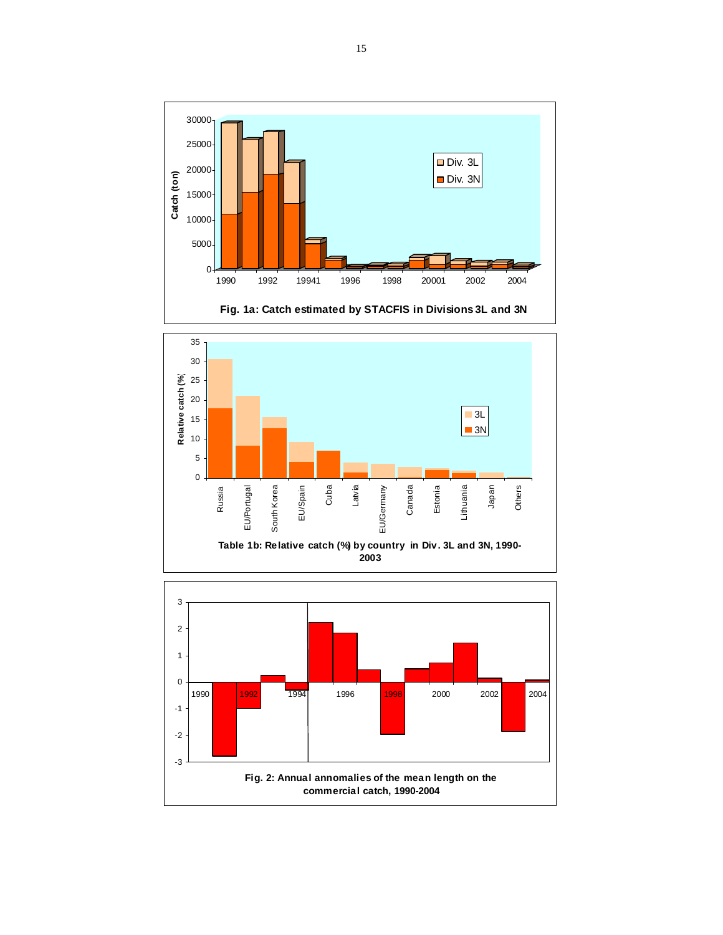

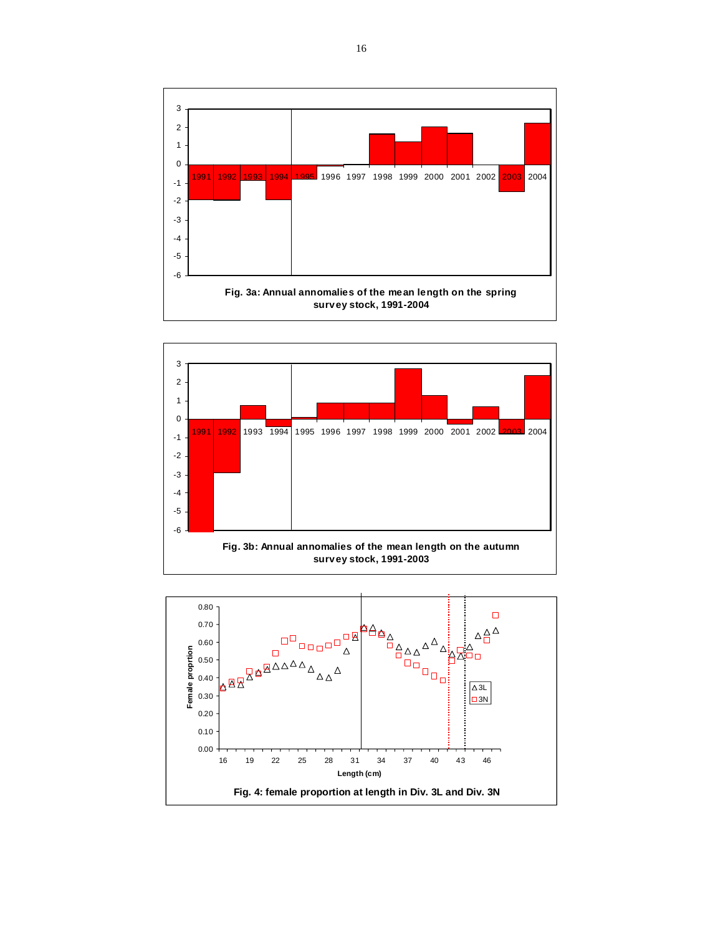



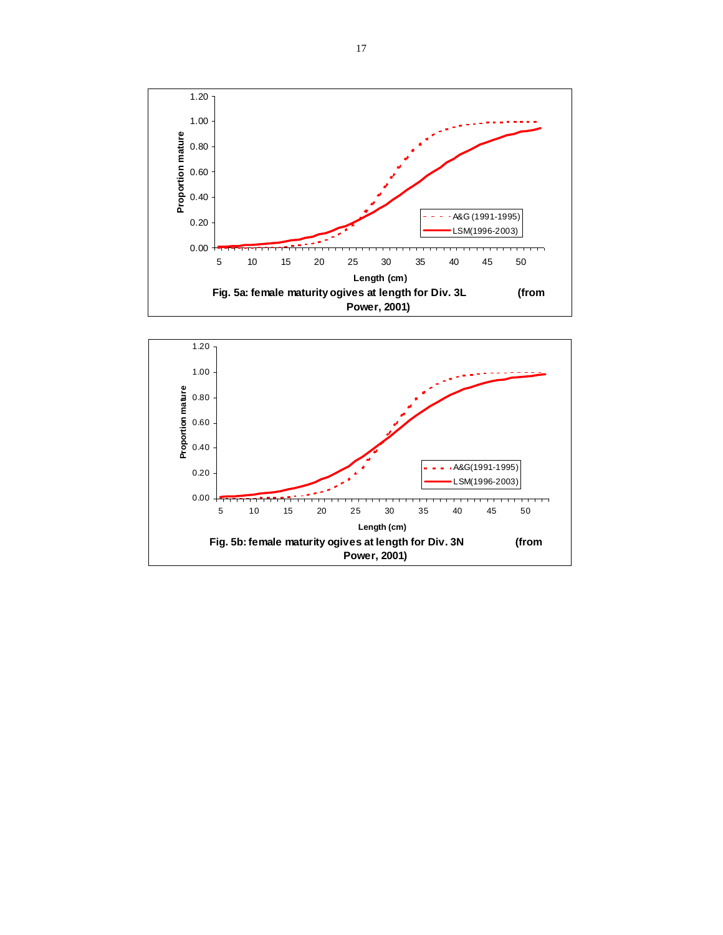

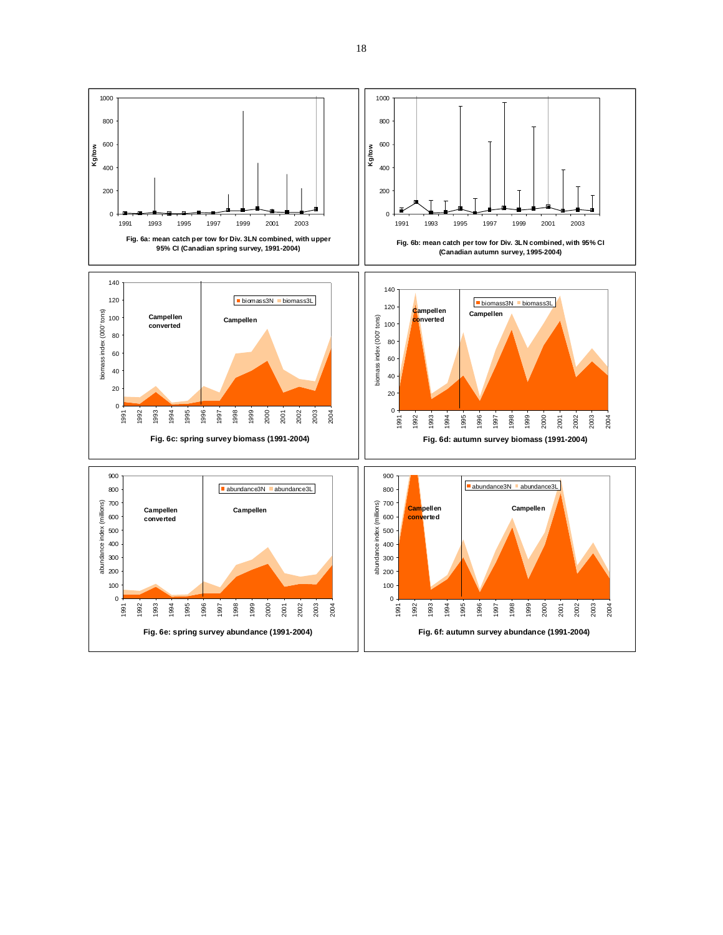